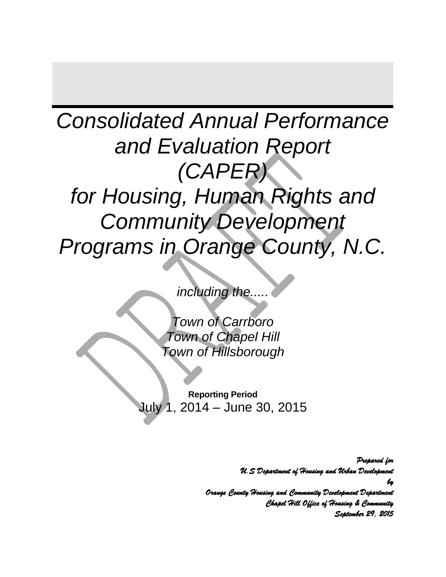# *Consolidated Annual Performance and Evaluation Report (CAPER) for Housing, Human Rights and Community Development Programs in Orange County, N.C.*

*including the.....*

*Town of Carrboro Town of Chapel Hill Town of Hillsborough*

<span id="page-0-0"></span>**Reporting Period** July 1, 2014 – June 30, 2015

> *Prepared for U.S Department of Housing and Urban Development by Orange County Housing and Community Development Department Chapel Hill Office of Housing & Community September 29, 2015*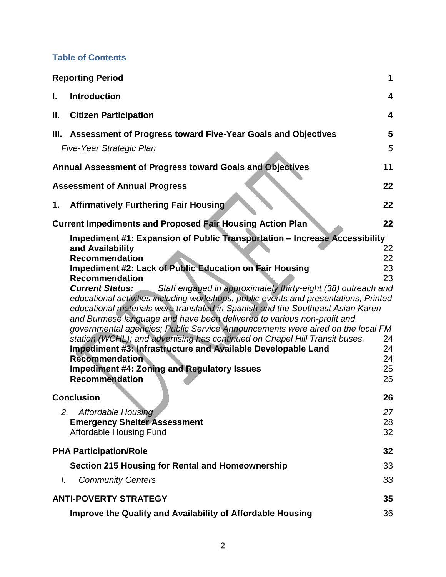#### **Table of Contents**

|    | <b>Reporting Period</b>                                                                                                                                                                                                                                                                                                                                                                                                                                                                                                                                                                                                                                                                                                                                                                                                                                                                                    | 1                                                  |
|----|------------------------------------------------------------------------------------------------------------------------------------------------------------------------------------------------------------------------------------------------------------------------------------------------------------------------------------------------------------------------------------------------------------------------------------------------------------------------------------------------------------------------------------------------------------------------------------------------------------------------------------------------------------------------------------------------------------------------------------------------------------------------------------------------------------------------------------------------------------------------------------------------------------|----------------------------------------------------|
| L. | <b>Introduction</b>                                                                                                                                                                                                                                                                                                                                                                                                                                                                                                                                                                                                                                                                                                                                                                                                                                                                                        | 4                                                  |
| Ш. | <b>Citizen Participation</b>                                                                                                                                                                                                                                                                                                                                                                                                                                                                                                                                                                                                                                                                                                                                                                                                                                                                               | 4                                                  |
|    | III. Assessment of Progress toward Five-Year Goals and Objectives                                                                                                                                                                                                                                                                                                                                                                                                                                                                                                                                                                                                                                                                                                                                                                                                                                          | 5                                                  |
|    | Five-Year Strategic Plan                                                                                                                                                                                                                                                                                                                                                                                                                                                                                                                                                                                                                                                                                                                                                                                                                                                                                   | 5                                                  |
|    | Annual Assessment of Progress toward Goals and Objectives                                                                                                                                                                                                                                                                                                                                                                                                                                                                                                                                                                                                                                                                                                                                                                                                                                                  | 11                                                 |
|    | <b>Assessment of Annual Progress</b>                                                                                                                                                                                                                                                                                                                                                                                                                                                                                                                                                                                                                                                                                                                                                                                                                                                                       | 22                                                 |
| 1. | <b>Affirmatively Furthering Fair Housing</b>                                                                                                                                                                                                                                                                                                                                                                                                                                                                                                                                                                                                                                                                                                                                                                                                                                                               | 22                                                 |
|    | <b>Current Impediments and Proposed Fair Housing Action Plan</b>                                                                                                                                                                                                                                                                                                                                                                                                                                                                                                                                                                                                                                                                                                                                                                                                                                           | 22                                                 |
|    | Impediment #1: Expansion of Public Transportation - Increase Accessibility<br>and Availability<br><b>Recommendation</b><br><b>Impediment #2: Lack of Public Education on Fair Housing</b><br><b>Recommendation</b><br>Staff engaged in approximately thirty-eight (38) outreach and<br><b>Current Status:</b><br>educational activities including workshops, public events and presentations; Printed<br>educational materials were translated in Spanish and the Southeast Asian Karen<br>and Burmese language and have been delivered to various non-profit and<br>governmental agencies; Public Service Announcements were aired on the local FM<br>station (WCHL); and advertising has continued on Chapel Hill Transit buses.<br>Impediment #3: Infrastructure and Available Developable Land<br><b>Recommendation</b><br><b>Impediment #4: Zoning and Regulatory Issues</b><br><b>Recommendation</b> | 22<br>22<br>23<br>23<br>24<br>24<br>24<br>25<br>25 |
|    | <b>Conclusion</b><br><b>Affordable Housing</b><br>2.<br><b>Emergency Shelter Assessment</b><br>Affordable Housing Fund                                                                                                                                                                                                                                                                                                                                                                                                                                                                                                                                                                                                                                                                                                                                                                                     | 26<br>27<br>28<br>32                               |
| I. | <b>PHA Participation/Role</b><br><b>Section 215 Housing for Rental and Homeownership</b><br><b>Community Centers</b>                                                                                                                                                                                                                                                                                                                                                                                                                                                                                                                                                                                                                                                                                                                                                                                       | 32<br>33<br>33                                     |
|    | <b>ANTI-POVERTY STRATEGY</b>                                                                                                                                                                                                                                                                                                                                                                                                                                                                                                                                                                                                                                                                                                                                                                                                                                                                               | 35                                                 |
|    | Improve the Quality and Availability of Affordable Housing                                                                                                                                                                                                                                                                                                                                                                                                                                                                                                                                                                                                                                                                                                                                                                                                                                                 | 36                                                 |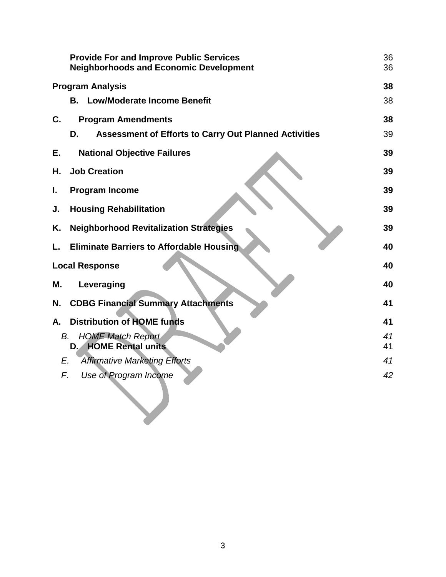|    | <b>Provide For and Improve Public Services</b><br><b>Neighborhoods and Economic Development</b> | 36<br>36 |  |
|----|-------------------------------------------------------------------------------------------------|----------|--|
|    | <b>Program Analysis</b><br>38                                                                   |          |  |
|    | <b>Low/Moderate Income Benefit</b><br>В.                                                        | 38       |  |
| C. | <b>Program Amendments</b>                                                                       | 38       |  |
|    | <b>Assessment of Efforts to Carry Out Planned Activities</b><br>D.                              | 39       |  |
| Е. | <b>National Objective Failures</b>                                                              | 39       |  |
| Н. | <b>Job Creation</b>                                                                             | 39       |  |
| I. | <b>Program Income</b>                                                                           | 39       |  |
| J. | <b>Housing Rehabilitation</b>                                                                   | 39       |  |
| Κ. | <b>Neighborhood Revitalization Strategies</b>                                                   | 39       |  |
| L. | <b>Eliminate Barriers to Affordable Housing</b>                                                 | 40       |  |
|    | <b>Local Response</b>                                                                           |          |  |
| Μ. | Leveraging                                                                                      | 40       |  |
| N. | <b>CDBG Financial Summary Attachments</b>                                                       | 41       |  |
| А. | <b>Distribution of HOME funds</b>                                                               | 41       |  |
| В. | <b>HOME Match Report</b>                                                                        | 41       |  |
|    | <b>HOME Rental units</b><br>$D_{\cdot}$                                                         | 41       |  |
| E. | <b>Affirmative Marketing Efforts</b>                                                            | 41       |  |
| F. | Use of Program Income                                                                           | 42       |  |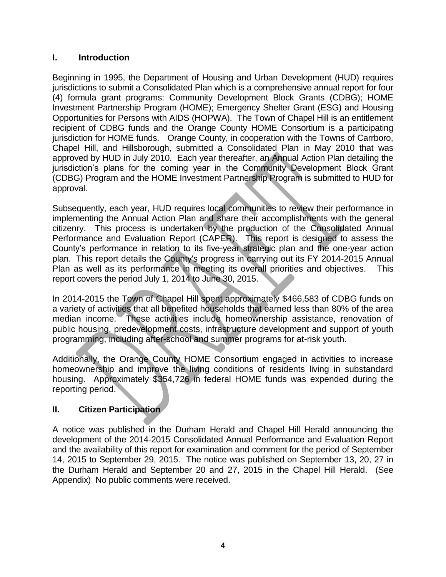#### <span id="page-3-0"></span>**I. Introduction**

Beginning in 1995, the Department of Housing and Urban Development (HUD) requires jurisdictions to submit a Consolidated Plan which is a comprehensive annual report for four (4) formula grant programs: Community Development Block Grants (CDBG); HOME Investment Partnership Program (HOME); Emergency Shelter Grant (ESG) and Housing Opportunities for Persons with AIDS (HOPWA). The Town of Chapel Hill is an entitlement recipient of CDBG funds and the Orange County HOME Consortium is a participating jurisdiction for HOME funds. Orange County, in cooperation with the Towns of Carrboro, Chapel Hill, and Hillsborough, submitted a Consolidated Plan in May 2010 that was approved by HUD in July 2010. Each year thereafter, an Annual Action Plan detailing the jurisdiction's plans for the coming year in the Community Development Block Grant (CDBG) Program and the HOME Investment Partnership Program is submitted to HUD for approval.

Subsequently, each year, HUD requires local communities to review their performance in implementing the Annual Action Plan and share their accomplishments with the general citizenry. This process is undertaken by the production of the Consolidated Annual Performance and Evaluation Report (CAPER). This report is designed to assess the County's performance in relation to its five-year strategic plan and the one-year action plan. This report details the County's progress in carrying out its FY 2014-2015 Annual Plan as well as its performance in meeting its overall priorities and objectives. This report covers the period July 1, 2014 to June 30, 2015.

In 2014-2015 the Town of Chapel Hill spent approximately \$466,583 of CDBG funds on a variety of activities that all benefited households that earned less than 80% of the area median income. These activities include homeownership assistance, renovation of public housing, predevelopment costs, infrastructure development and support of youth programming, including after-school and summer programs for at-risk youth.

Additionally, the Orange County HOME Consortium engaged in activities to increase homeownership and improve the living conditions of residents living in substandard housing. Approximately \$354,726 in federal HOME funds was expended during the reporting period.

#### <span id="page-3-1"></span>**II. Citizen Participation**

A notice was published in the Durham Herald and Chapel Hill Herald announcing the development of the 2014-2015 Consolidated Annual Performance and Evaluation Report and the availability of this report for examination and comment for the period of September 14, 2015 to September 29, 2015. The notice was published on September 13, 20, 27 in the Durham Herald and September 20 and 27, 2015 in the Chapel Hill Herald. (See Appendix) No public comments were received.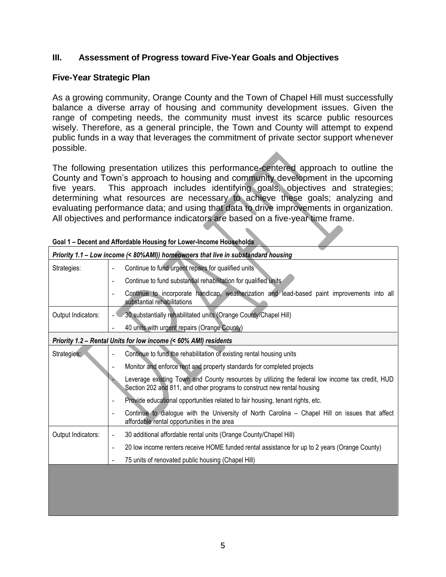#### <span id="page-4-0"></span>**III. Assessment of Progress toward Five-Year Goals and Objectives**

#### <span id="page-4-1"></span>**Five-Year Strategic Plan**

As a growing community, Orange County and the Town of Chapel Hill must successfully balance a diverse array of housing and community development issues. Given the range of competing needs, the community must invest its scarce public resources wisely. Therefore, as a general principle, the Town and County will attempt to expend public funds in a way that leverages the commitment of private sector support whenever possible.

The following presentation utilizes this performance-centered approach to outline the County and Town's approach to housing and community development in the upcoming five years. This approach includes identifying goals, objectives and strategies; determining what resources are necessary to achieve these goals; analyzing and evaluating performance data; and using that data to drive improvements in organization. All objectives and performance indicators are based on a five-year time frame.

| Priority 1.1 - Low income (< 80%AMI)) homeowners that live in substandard housing |                                                                                                                                                                            |  |  |
|-----------------------------------------------------------------------------------|----------------------------------------------------------------------------------------------------------------------------------------------------------------------------|--|--|
| Strategies:                                                                       | Continue to fund urgent repairs for qualified units                                                                                                                        |  |  |
|                                                                                   | Continue to fund substantial rehabilitation for qualified units                                                                                                            |  |  |
|                                                                                   | Continue to incorporate handicap, weatherization and lead-based paint improvements into all<br>$\overline{\phantom{a}}$<br>substantial rehabilitations                     |  |  |
| Output Indicators:                                                                | 30 substantially rehabilitated units (Orange County/Chapel Hill)                                                                                                           |  |  |
|                                                                                   | 40 units with urgent repairs (Orange County)                                                                                                                               |  |  |
|                                                                                   | Priority 1.2 - Rental Units for low income (< 60% AMI) residents                                                                                                           |  |  |
| Strategies:                                                                       | Continue to fund the rehabilitation of existing rental housing units                                                                                                       |  |  |
|                                                                                   | Monitor and enforce rent and property standards for completed projects                                                                                                     |  |  |
|                                                                                   | Leverage existing Town and County resources by utilizing the federal low income tax credit, HUD<br>Section 202 and 811, and other programs to construct new rental housing |  |  |
|                                                                                   | Provide educational opportunities related to fair housing, tenant rights, etc.                                                                                             |  |  |
|                                                                                   | Continue to dialogue with the University of North Carolina – Chapel Hill on issues that affect<br>affordable rental opportunities in the area                              |  |  |
| Output Indicators:                                                                | 30 additional affordable rental units (Orange County/Chapel Hill)                                                                                                          |  |  |
|                                                                                   | 20 low income renters receive HOME funded rental assistance for up to 2 years (Orange County)                                                                              |  |  |
|                                                                                   | 75 units of renovated public housing (Chapel Hill)                                                                                                                         |  |  |
|                                                                                   |                                                                                                                                                                            |  |  |
|                                                                                   |                                                                                                                                                                            |  |  |
|                                                                                   |                                                                                                                                                                            |  |  |

|--|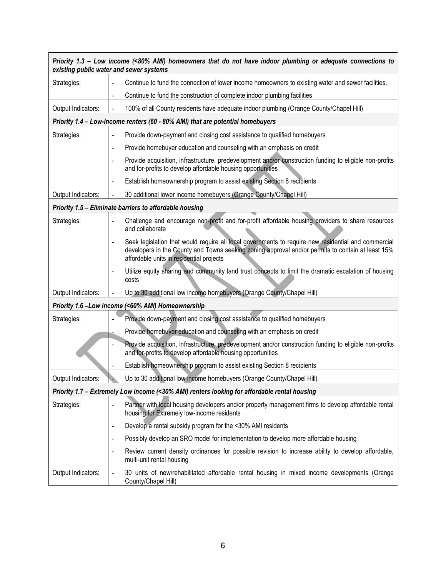| Priority 1.3 - Low income (<80% AMI) homeowners that do not have indoor plumbing or adequate connections to<br>existing public water and sewer systems |                          |                                                                                                                                                                                                                                                      |  |
|--------------------------------------------------------------------------------------------------------------------------------------------------------|--------------------------|------------------------------------------------------------------------------------------------------------------------------------------------------------------------------------------------------------------------------------------------------|--|
| Strategies:                                                                                                                                            |                          | Continue to fund the connection of lower income homeowners to existing water and sewer facilities.                                                                                                                                                   |  |
|                                                                                                                                                        |                          | Continue to fund the construction of complete indoor plumbing facilities                                                                                                                                                                             |  |
| Output Indicators:                                                                                                                                     |                          | 100% of all County residents have adequate indoor plumbing (Orange County/Chapel Hill)                                                                                                                                                               |  |
|                                                                                                                                                        |                          | Priority 1.4 - Low-income renters (60 - 80% AMI) that are potential homebuyers                                                                                                                                                                       |  |
| Strategies:                                                                                                                                            | $\blacksquare$           | Provide down-payment and closing cost assistance to qualified homebuyers                                                                                                                                                                             |  |
|                                                                                                                                                        | $\overline{\phantom{a}}$ | Provide homebuyer education and counseling with an emphasis on credit                                                                                                                                                                                |  |
|                                                                                                                                                        | $\blacksquare$           | Provide acquisition, infrastructure, predevelopment and/or construction funding to eligible non-profits<br>and for-profits to develop affordable housing opportunities                                                                               |  |
|                                                                                                                                                        |                          | Establish homeownership program to assist existing Section 8 recipients                                                                                                                                                                              |  |
| Output Indicators:                                                                                                                                     |                          | 30 additional lower income homebuyers (Orange County/Chapel Hill)                                                                                                                                                                                    |  |
|                                                                                                                                                        |                          | Priority 1.5 - Eliminate barriers to affordable housing                                                                                                                                                                                              |  |
| Strategies:                                                                                                                                            |                          | Challenge and encourage non-profit and for-profit affordable housing providers to share resources<br>and collaborate                                                                                                                                 |  |
|                                                                                                                                                        |                          | Seek legislation that would require all local governments to require new residential and commercial<br>developers in the County and Towns seeking zoning approval and/or permits to contain at least 15%<br>affordable units in residential projects |  |
|                                                                                                                                                        |                          | Utilize equity sharing and community land trust concepts to limit the dramatic escalation of housing<br>costs                                                                                                                                        |  |
| Output Indicators:                                                                                                                                     |                          | Up to 30 additional low income homebuyers (Orange County/Chapel Hill)                                                                                                                                                                                |  |
|                                                                                                                                                        |                          | Priority 1.6-Low income (<60% AMI) Homeownership                                                                                                                                                                                                     |  |
| Strategies:                                                                                                                                            |                          | Provide down-payment and closing cost assistance to qualified homebuyers                                                                                                                                                                             |  |
|                                                                                                                                                        |                          | Provide homebuyer education and counseling with an emphasis on credit                                                                                                                                                                                |  |
|                                                                                                                                                        |                          | Provide acquisition, infrastructure, predevelopment and/or construction funding to eligible non-profits<br>and for-profits to develop affordable housing opportunities                                                                               |  |
|                                                                                                                                                        |                          | Establish homeownership program to assist existing Section 8 recipients                                                                                                                                                                              |  |
| Output Indicators:                                                                                                                                     |                          | Up to 30 additional low income homebuyers (Orange County/Chapel Hill)                                                                                                                                                                                |  |
| Priority 1.7 - Extremely Low income (<30% AMI) renters looking for affordable rental housing                                                           |                          |                                                                                                                                                                                                                                                      |  |
| Strategies:                                                                                                                                            |                          | Partner with local housing developers and/or property management firms to develop affordable rental<br>housing for Extremely low-income residents                                                                                                    |  |
|                                                                                                                                                        | $\overline{\phantom{a}}$ | Develop a rental subsidy program for the <30% AMI residents                                                                                                                                                                                          |  |
|                                                                                                                                                        | $\overline{\phantom{a}}$ | Possibly develop an SRO model for implementation to develop more affordable housing                                                                                                                                                                  |  |
|                                                                                                                                                        |                          | Review current density ordinances for possible revision to increase ability to develop affordable,<br>multi-unit rental housing                                                                                                                      |  |
| Output Indicators:                                                                                                                                     |                          | 30 units of new/rehabilitated affordable rental housing in mixed income developments (Orange<br>County/Chapel Hill)                                                                                                                                  |  |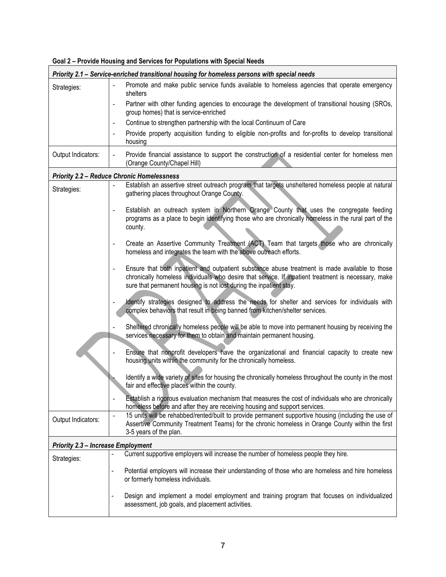| Priority 2.1 - Service-enriched transitional housing for homeless persons with special needs |                                                                                                                                                                                                                                                                                                             |  |
|----------------------------------------------------------------------------------------------|-------------------------------------------------------------------------------------------------------------------------------------------------------------------------------------------------------------------------------------------------------------------------------------------------------------|--|
| Strategies:                                                                                  | Promote and make public service funds available to homeless agencies that operate emergency<br>$\blacksquare$<br>shelters                                                                                                                                                                                   |  |
|                                                                                              | Partner with other funding agencies to encourage the development of transitional housing (SROs,<br>$\overline{\phantom{a}}$<br>group homes) that is service-enriched                                                                                                                                        |  |
|                                                                                              | Continue to strengthen partnership with the local Continuum of Care<br>$\overline{\phantom{a}}$                                                                                                                                                                                                             |  |
|                                                                                              | Provide property acquisition funding to eligible non-profits and for-profits to develop transitional<br>$\overline{\phantom{a}}$<br>housing                                                                                                                                                                 |  |
| Output Indicators:                                                                           | Provide financial assistance to support the construction of a residential center for homeless men<br>$\blacksquare$<br>(Orange County/Chapel Hill)                                                                                                                                                          |  |
|                                                                                              | <b>Priority 2.2 - Reduce Chronic Homelessness</b>                                                                                                                                                                                                                                                           |  |
| Strategies:                                                                                  | Establish an assertive street outreach program that targets unsheltered homeless people at natural<br>$\blacksquare$<br>gathering places throughout Orange County.                                                                                                                                          |  |
|                                                                                              | Establish an outreach system in Northern Orange County that uses the congregate feeding<br>$\qquad \qquad \blacksquare$<br>programs as a place to begin identifying those who are chronically homeless in the rural part of the<br>county.                                                                  |  |
|                                                                                              | Create an Assertive Community Treatment (ACT) Team that targets those who are chronically<br>$\overline{\phantom{a}}$<br>homeless and integrates the team with the above outreach efforts.                                                                                                                  |  |
|                                                                                              | Ensure that both inpatient and outpatient substance abuse treatment is made available to those<br>$\qquad \qquad \blacksquare$<br>chronically homeless individuals who desire that service. If inpatient treatment is necessary, make<br>sure that permanent housing is not lost during the inpatient stay. |  |
|                                                                                              | Identify strategies designed to address the needs for shelter and services for individuals with<br>$\frac{1}{2}$<br>complex behaviors that result in being banned from kitchen/shelter services.                                                                                                            |  |
|                                                                                              | Sheltered chronically homeless people will be able to move into permanent housing by receiving the<br>services necessary for them to obtain and maintain permanent housing.                                                                                                                                 |  |
|                                                                                              | Ensure that nonprofit developers have the organizational and financial capacity to create new<br>housing units within the community for the chronically homeless.                                                                                                                                           |  |
|                                                                                              | Identify a wide variety of sites for housing the chronically homeless throughout the county in the most<br>fair and effective places within the county.                                                                                                                                                     |  |
|                                                                                              | Establish a rigorous evaluation mechanism that measures the cost of individuals who are chronically<br>homeless before and after they are receiving housing and support services.                                                                                                                           |  |
| Output Indicators:                                                                           | 15 units will be rehabbed/rented/built to provide permanent supportive housing (including the use of<br>$\frac{1}{2}$<br>Assertive Community Treatment Teams) for the chronic homeless in Orange County within the first<br>3-5 years of the plan.                                                          |  |
| <b>Priority 2.3 - Increase Employment</b>                                                    |                                                                                                                                                                                                                                                                                                             |  |
| Strategies:                                                                                  | Current supportive employers will increase the number of homeless people they hire.                                                                                                                                                                                                                         |  |
|                                                                                              | Potential employers will increase their understanding of those who are homeless and hire homeless<br>or formerly homeless individuals.                                                                                                                                                                      |  |
|                                                                                              | Design and implement a model employment and training program that focuses on individualized<br>$\overline{\phantom{0}}$<br>assessment, job goals, and placement activities.                                                                                                                                 |  |

| Goal 2 - Provide Housing and Services for Populations with Special Needs |  |  |
|--------------------------------------------------------------------------|--|--|
|                                                                          |  |  |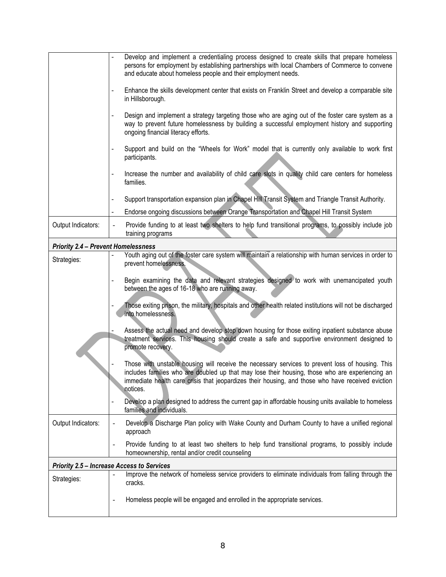|                                                   | Develop and implement a credentialing process designed to create skills that prepare homeless                                                                                                                                                                                                                        |  |
|---------------------------------------------------|----------------------------------------------------------------------------------------------------------------------------------------------------------------------------------------------------------------------------------------------------------------------------------------------------------------------|--|
|                                                   | persons for employment by establishing partnerships with local Chambers of Commerce to convene<br>and educate about homeless people and their employment needs.                                                                                                                                                      |  |
|                                                   | Enhance the skills development center that exists on Franklin Street and develop a comparable site<br>$\blacksquare$<br>in Hillsborough.                                                                                                                                                                             |  |
|                                                   | Design and implement a strategy targeting those who are aging out of the foster care system as a<br>way to prevent future homelessness by building a successful employment history and supporting<br>ongoing financial literacy efforts.                                                                             |  |
|                                                   | Support and build on the "Wheels for Work" model that is currently only available to work first<br>$\overline{\phantom{a}}$<br>participants.                                                                                                                                                                         |  |
|                                                   | Increase the number and availability of child care slots in quality child care centers for homeless<br>$\blacksquare$<br>families.                                                                                                                                                                                   |  |
|                                                   | Support transportation expansion plan in Chapel Hill Transit System and Triangle Transit Authority.                                                                                                                                                                                                                  |  |
|                                                   | Endorse ongoing discussions between Orange Transportation and Chapel Hill Transit System                                                                                                                                                                                                                             |  |
| Output Indicators:                                | Provide funding to at least two shelters to help fund transitional programs, to possibly include job<br>$\overline{\phantom{a}}$<br>training programs                                                                                                                                                                |  |
| <b>Priority 2.4 - Prevent Homelessness</b>        |                                                                                                                                                                                                                                                                                                                      |  |
| Strategies:                                       | Youth aging out of the foster care system will maintain a relationship with human services in order to<br>prevent homelessness.                                                                                                                                                                                      |  |
|                                                   | Begin examining the data and relevant strategies designed to work with unemancipated youth<br>$\blacksquare$<br>between the ages of 16-18 who are running away.                                                                                                                                                      |  |
|                                                   | Those exiting prison, the military, hospitals and other health related institutions will not be discharged<br>into homelessness.                                                                                                                                                                                     |  |
|                                                   | Assess the actual need and develop step down housing for those exiting inpatient substance abuse<br>treatment services. This housing should create a safe and supportive environment designed to<br>promote recovery.                                                                                                |  |
|                                                   | Those with unstable housing will receive the necessary services to prevent loss of housing. This<br>includes families who are doubled up that may lose their housing, those who are experiencing an<br>immediate health care crisis that jeopardizes their housing, and those who have received eviction<br>notices. |  |
|                                                   | Develop a plan designed to address the current gap in affordable housing units available to homeless<br>$\blacksquare$<br>families and individuals.                                                                                                                                                                  |  |
| Output Indicators:                                | Develop a Discharge Plan policy with Wake County and Durham County to have a unified regional<br>$\overline{\phantom{0}}$<br>approach                                                                                                                                                                                |  |
|                                                   | Provide funding to at least two shelters to help fund transitional programs, to possibly include<br>homeownership, rental and/or credit counseling                                                                                                                                                                   |  |
| <b>Priority 2.5 - Increase Access to Services</b> |                                                                                                                                                                                                                                                                                                                      |  |
| Strategies:                                       | Improve the network of homeless service providers to eliminate individuals from falling through the<br>cracks.                                                                                                                                                                                                       |  |
|                                                   | Homeless people will be engaged and enrolled in the appropriate services.                                                                                                                                                                                                                                            |  |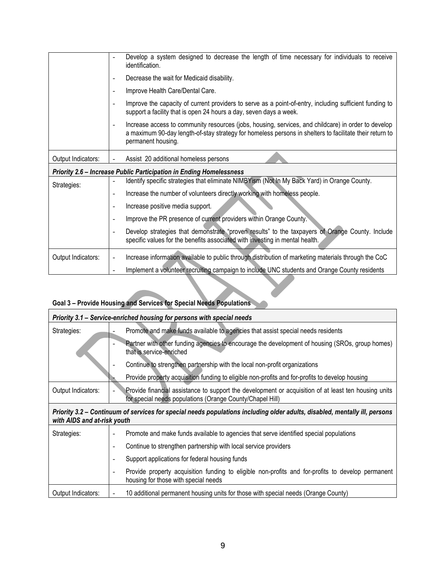|                    | Develop a system designed to decrease the length of time necessary for individuals to receive<br>identification.                                                                                                                                                 |
|--------------------|------------------------------------------------------------------------------------------------------------------------------------------------------------------------------------------------------------------------------------------------------------------|
|                    | Decrease the wait for Medicaid disability.<br>$\overline{\phantom{a}}$                                                                                                                                                                                           |
|                    | Improve Health Care/Dental Care.<br>$\overline{\phantom{a}}$                                                                                                                                                                                                     |
|                    | Improve the capacity of current providers to serve as a point-of-entry, including sufficient funding to<br>$\overline{\phantom{a}}$<br>support a facility that is open 24 hours a day, seven days a week.                                                        |
|                    | Increase access to community resources (jobs, housing, services, and childcare) in order to develop<br>$\overline{\phantom{a}}$<br>a maximum 90-day length-of-stay strategy for homeless persons in shelters to facilitate their return to<br>permanent housing. |
| Output Indicators: | Assist 20 additional homeless persons                                                                                                                                                                                                                            |
|                    | Priority 2.6 - Increase Public Participation in Ending Homelessness                                                                                                                                                                                              |
| Strategies:        | Identify specific strategies that eliminate NIMBYism (Not In My Back Yard) in Orange County.<br>$\qquad \qquad \blacksquare$                                                                                                                                     |
|                    | Increase the number of volunteers directly working with homeless people.<br>$\overline{\phantom{a}}$                                                                                                                                                             |
|                    | Increase positive media support.<br>$\overline{\phantom{a}}$                                                                                                                                                                                                     |
|                    | Improve the PR presence of current providers within Orange County.<br>$\overline{\phantom{a}}$                                                                                                                                                                   |
|                    | Develop strategies that demonstrate "proven results" to the taxpayers of Orange County. Include<br>$\overline{\phantom{a}}$<br>specific values for the benefits associated with investing in mental health.                                                      |
| Output Indicators: | Increase information available to public through distribution of marketing materials through the CoC<br>$\overline{\phantom{a}}$                                                                                                                                 |
|                    | Implement a volunteer recruiting campaign to include UNC students and Orange County residents                                                                                                                                                                    |
|                    |                                                                                                                                                                                                                                                                  |

# **Goal 3 – Provide Housing and Services for Special Needs Populations**

| Priority 3.1 - Service-enriched housing for persons with special needs                                                                                    |                                                                                                                                                                   |  |  |
|-----------------------------------------------------------------------------------------------------------------------------------------------------------|-------------------------------------------------------------------------------------------------------------------------------------------------------------------|--|--|
| Strategies:                                                                                                                                               | Promote and make funds available to agencies that assist special needs residents                                                                                  |  |  |
|                                                                                                                                                           | Partner with other funding agencies to encourage the development of housing (SROs, group homes)<br>that is service-enriched                                       |  |  |
|                                                                                                                                                           | Continue to strengthen partnership with the local non-profit organizations                                                                                        |  |  |
|                                                                                                                                                           | Provide property acquisition funding to eligible non-profits and for-profits to develop housing                                                                   |  |  |
| Output Indicators:                                                                                                                                        | Provide financial assistance to support the development or acquisition of at least ten housing units<br>for special needs populations (Orange County/Chapel Hill) |  |  |
| Priority 3.2 – Continuum of services for special needs populations including older adults, disabled, mentally ill, persons<br>with AIDS and at-risk youth |                                                                                                                                                                   |  |  |
| Strategies:                                                                                                                                               | Promote and make funds available to agencies that serve identified special populations                                                                            |  |  |
|                                                                                                                                                           | Continue to strengthen partnership with local service providers                                                                                                   |  |  |
|                                                                                                                                                           | Support applications for federal housing funds                                                                                                                    |  |  |
|                                                                                                                                                           | Provide property acquisition funding to eligible non-profits and for-profits to develop permanent<br>housing for those with special needs                         |  |  |
| Output Indicators:                                                                                                                                        | 10 additional permanent housing units for those with special needs (Orange County)                                                                                |  |  |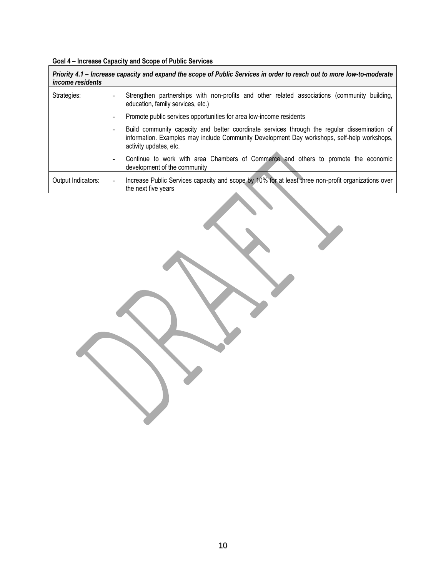# **Goal 4 – Increase Capacity and Scope of Public Services**

| Priority 4.1 - Increase capacity and expand the scope of Public Services in order to reach out to more low-to-moderate<br><i>income residents</i> |                                                                                                                                                                                                                       |  |  |
|---------------------------------------------------------------------------------------------------------------------------------------------------|-----------------------------------------------------------------------------------------------------------------------------------------------------------------------------------------------------------------------|--|--|
| Strategies:                                                                                                                                       | Strengthen partnerships with non-profits and other related associations (community building,<br>education, family services, etc.)                                                                                     |  |  |
|                                                                                                                                                   | Promote public services opportunities for area low-income residents<br>$\overline{\phantom{0}}$                                                                                                                       |  |  |
|                                                                                                                                                   | Build community capacity and better coordinate services through the regular dissemination of<br>information. Examples may include Community Development Day workshops, self-help workshops,<br>activity updates, etc. |  |  |
|                                                                                                                                                   | Continue to work with area Chambers of Commerce and others to promote the economic<br>development of the community                                                                                                    |  |  |
| Output Indicators:                                                                                                                                | Increase Public Services capacity and scope by 10% for at least three non-profit organizations over<br>$\overline{\phantom{a}}$<br>the next five years                                                                |  |  |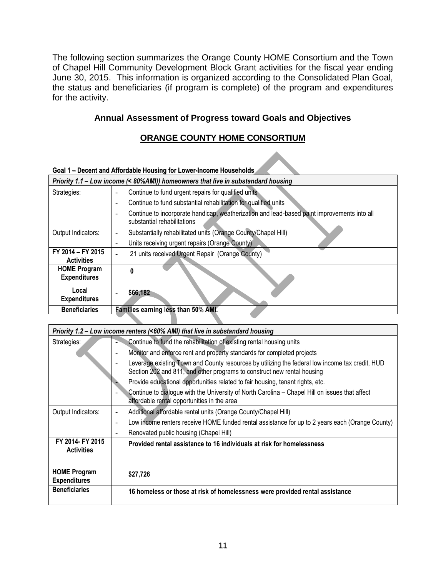The following section summarizes the Orange County HOME Consortium and the Town of Chapel Hill Community Development Block Grant activities for the fiscal year ending June 30, 2015. This information is organized according to the Consolidated Plan Goal, the status and beneficiaries (if program is complete) of the program and expenditures for the activity.

#### <span id="page-10-0"></span>**Annual Assessment of Progress toward Goals and Objectives**

#### **ORANGE COUNTY HOME CONSORTIUM**

| Goal 1 – Decent and Affordable Housing for Lower-Income Households |                                                                                                                            |  |  |
|--------------------------------------------------------------------|----------------------------------------------------------------------------------------------------------------------------|--|--|
|                                                                    | Priority 1.1 - Low income (< 80%AMI)) homeowners that live in substandard housing                                          |  |  |
| Strategies:                                                        | Continue to fund urgent repairs for qualified units                                                                        |  |  |
|                                                                    | Continue to fund substantial rehabilitation for qualified units                                                            |  |  |
|                                                                    | Continue to incorporate handicap, weatherization and lead-based paint improvements into all<br>substantial rehabilitations |  |  |
| Output Indicators:                                                 | Substantially rehabilitated units (Orange County/Chapel Hill)                                                              |  |  |
|                                                                    | Units receiving urgent repairs (Orange County)                                                                             |  |  |
| FY 2014 - FY 2015<br><b>Activities</b>                             | 21 units received Urgent Repair (Orange County)                                                                            |  |  |
| <b>HOME Program</b><br><b>Expenditures</b>                         |                                                                                                                            |  |  |
| Local<br><b>Expenditures</b>                                       | \$66,182                                                                                                                   |  |  |
| <b>Beneficiaries</b>                                               | Families earning less than 50% AMI.                                                                                        |  |  |
|                                                                    |                                                                                                                            |  |  |

| Priority 1.2 – Low income renters (<60% AMI) that live in substandard housing |                                                                                                                                                                            |  |
|-------------------------------------------------------------------------------|----------------------------------------------------------------------------------------------------------------------------------------------------------------------------|--|
| Strategies:                                                                   | Continue to fund the rehabilitation of existing rental housing units                                                                                                       |  |
|                                                                               | Monitor and enforce rent and property standards for completed projects<br>۰                                                                                                |  |
|                                                                               | Leverage existing Town and County resources by utilizing the federal low income tax credit, HUD<br>Section 202 and 811, and other programs to construct new rental housing |  |
|                                                                               | Provide educational opportunities related to fair housing, tenant rights, etc.                                                                                             |  |
|                                                                               | Continue to dialogue with the University of North Carolina - Chapel Hill on issues that affect<br>affordable rental opportunities in the area                              |  |
| Output Indicators:                                                            | Additional affordable rental units (Orange County/Chapel Hill)<br>$\overline{a}$                                                                                           |  |
|                                                                               | Low income renters receive HOME funded rental assistance for up to 2 years each (Orange County)<br>۰                                                                       |  |
|                                                                               | Renovated public housing (Chapel Hill)<br>$\overline{\phantom{0}}$                                                                                                         |  |
| FY 2014- FY 2015<br><b>Activities</b>                                         | Provided rental assistance to 16 individuals at risk for homelessness                                                                                                      |  |
| <b>HOME Program</b><br><b>Expenditures</b>                                    | \$27,726                                                                                                                                                                   |  |
| <b>Beneficiaries</b>                                                          | 16 homeless or those at risk of homelessness were provided rental assistance                                                                                               |  |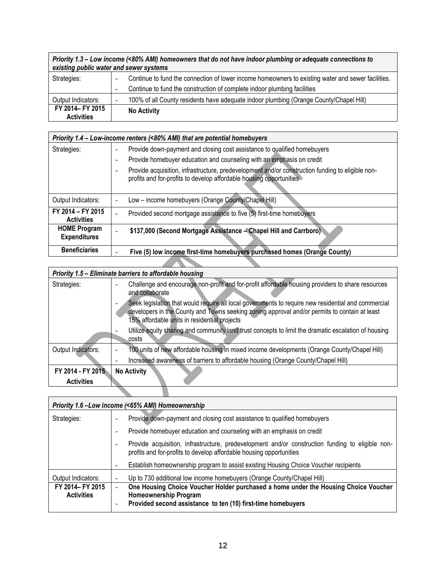| Priority 1.3 – Low income (<80% AMI) homeowners that do not have indoor plumbing or adequate connections to<br>existing public water and sewer systems |                                                                                                                                |
|--------------------------------------------------------------------------------------------------------------------------------------------------------|--------------------------------------------------------------------------------------------------------------------------------|
| Strategies:                                                                                                                                            | Continue to fund the connection of lower income homeowners to existing water and sewer facilities.<br>$\overline{\phantom{0}}$ |
|                                                                                                                                                        | Continue to fund the construction of complete indoor plumbing facilities<br>$\qquad \qquad \blacksquare$                       |
| Output Indicators:                                                                                                                                     | 100% of all County residents have adequate indoor plumbing (Orange County/Chapel Hill)<br>-                                    |
| FY 2014- FY 2015<br><b>Activities</b>                                                                                                                  | <b>No Activity</b>                                                                                                             |

|                                            | Priority 1.4 – Low-income renters (<80% AMI) that are potential homebuyers                                                                                                   |
|--------------------------------------------|------------------------------------------------------------------------------------------------------------------------------------------------------------------------------|
| Strategies:                                | Provide down-payment and closing cost assistance to qualified homebuyers                                                                                                     |
|                                            | Provide homebuyer education and counseling with an emphasis on credit<br>٠                                                                                                   |
|                                            | Provide acquisition, infrastructure, predevelopment and/or construction funding to eligible non-<br>-<br>profits and for-profits to develop affordable housing opportunities |
| Output Indicators:                         | Low - income homebuyers (Orange County/Chapel Hill)                                                                                                                          |
| FY 2014 - FY 2015<br><b>Activities</b>     | Provided second mortgage assistance to five (5) first-time homebuyers                                                                                                        |
| <b>HOME Program</b><br><b>Expenditures</b> | \$137,000 (Second Mortgage Assistance - Chapel Hill and Carrboro)                                                                                                            |
| <b>Beneficiaries</b>                       | Five (5) low income first-time homebuyers purchased homes (Orange County)                                                                                                    |

|                    | Priority 1.5 - Eliminate barriers to affordable housing                                                                                                                                                                                              |
|--------------------|------------------------------------------------------------------------------------------------------------------------------------------------------------------------------------------------------------------------------------------------------|
| Strategies:        | Challenge and encourage non-profit and for-profit affordable housing providers to share resources<br>$\overline{\phantom{a}}$<br>and collaborate                                                                                                     |
|                    | Seek legislation that would require all local governments to require new residential and commercial<br>developers in the County and Towns seeking zoning approval and/or permits to contain at least<br>15% affordable units in residential projects |
|                    | Utilize equity sharing and community land trust concepts to limit the dramatic escalation of housing<br>costs                                                                                                                                        |
| Output Indicators: | 100 units of new affordable housing in mixed income developments (Orange County/Chapel Hill)<br>$\overline{\phantom{0}}$                                                                                                                             |
|                    | Increased awareness of barriers to affordable housing (Orange County/Chapel Hill)                                                                                                                                                                    |
| FY 2014 - FY 2015  | <b>No Activity</b>                                                                                                                                                                                                                                   |
| <b>Activities</b>  |                                                                                                                                                                                                                                                      |

**STATISTICS** 

Í

| Priority 1.6 - Low income (<65% AMI) Homeownership |                                                                                                                                                                                   |
|----------------------------------------------------|-----------------------------------------------------------------------------------------------------------------------------------------------------------------------------------|
| Strategies:                                        | Provide down-payment and closing cost assistance to qualified homebuyers<br>٠                                                                                                     |
|                                                    | Provide homebuyer education and counseling with an emphasis on credit<br>۰                                                                                                        |
|                                                    | Provide acquisition, infrastructure, predevelopment and/or construction funding to eligible non-<br>-<br>profits and for-profits to develop affordable housing opportunities      |
|                                                    | Establish homeownership program to assist existing Housing Choice Voucher recipients                                                                                              |
| Output Indicators:                                 | Up to 730 additional low income homebuyers (Orange County/Chapel Hill)                                                                                                            |
| FY 2014- FY 2015<br><b>Activities</b>              | One Housing Choice Voucher Holder purchased a home under the Housing Choice Voucher<br>Homeownership Program<br>Provided second assistance to ten (10) first-time homebuyers<br>- |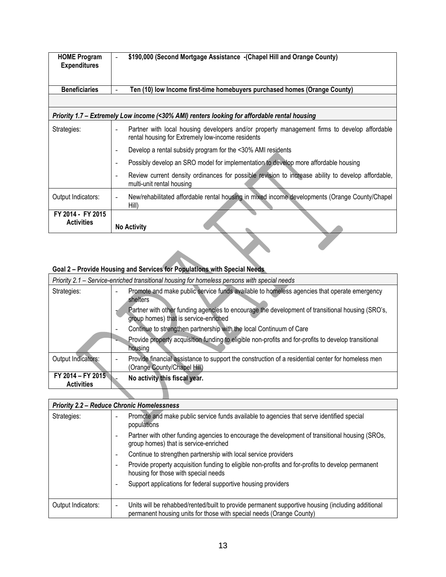| <b>HOME Program</b><br><b>Expenditures</b> | \$190,000 (Second Mortgage Assistance - (Chapel Hill and Orange County)<br>$\overline{\phantom{a}}$                                                         |
|--------------------------------------------|-------------------------------------------------------------------------------------------------------------------------------------------------------------|
| <b>Beneficiaries</b>                       | Ten (10) low Income first-time homebuyers purchased homes (Orange County)<br>$\overline{a}$                                                                 |
|                                            |                                                                                                                                                             |
|                                            | Priority 1.7 – Extremely Low income (<30% AMI) renters looking for affordable rental housing                                                                |
| Strategies:                                | Partner with local housing developers and/or property management firms to develop affordable<br>rental housing for Extremely low-income residents           |
|                                            | Develop a rental subsidy program for the <30% AMI residents<br>۰                                                                                            |
|                                            | Possibly develop an SRO model for implementation to develop more affordable housing<br>۰                                                                    |
|                                            | Review current density ordinances for possible revision to increase ability to develop affordable,<br>$\overline{\phantom{0}}$<br>multi-unit rental housing |
| Output Indicators:                         | New/rehabilitated affordable rental housing in mixed income developments (Orange County/Chapel<br>$\overline{\phantom{a}}$<br>Hill)                         |
| FY 2014 - FY 2015<br><b>Activities</b>     | <b>No Activity</b>                                                                                                                                          |

#### **Goal 2 – Provide Housing and Services for Populations with Special Needs**

|                                        | Priority 2.1 – Service-enriched transitional housing for homeless persons with special needs                                                                                                                                                                                                                                                                                                                                                                                                           |
|----------------------------------------|--------------------------------------------------------------------------------------------------------------------------------------------------------------------------------------------------------------------------------------------------------------------------------------------------------------------------------------------------------------------------------------------------------------------------------------------------------------------------------------------------------|
| Strategies:                            | Promote and make public service funds available to homeless agencies that operate emergency<br>$\overline{\phantom{a}}$<br>shelters<br>Partner with other funding agencies to encourage the development of transitional housing (SRO's,<br>group homes) that is service-enriched<br>Continue to strengthen partnership with the local Continuum of Care<br>$\overline{\phantom{a}}$<br>Provide property acquisition funding to eligible non-profits and for-profits to develop transitional<br>housing |
| Output Indicators:                     | Provide financial assistance to support the construction of a residential center for homeless men<br>۰<br>(Orange County/Chapel Hill)                                                                                                                                                                                                                                                                                                                                                                  |
| FY 2014 - FY 2015<br><b>Activities</b> | No activity this fiscal year.                                                                                                                                                                                                                                                                                                                                                                                                                                                                          |
|                                        |                                                                                                                                                                                                                                                                                                                                                                                                                                                                                                        |

<u>a shekara t</u>

| <b>Priority 2.2 - Reduce Chronic Homelessness</b> |                                                                                                                                                                                                       |  |
|---------------------------------------------------|-------------------------------------------------------------------------------------------------------------------------------------------------------------------------------------------------------|--|
| Strategies:                                       | Promote and make public service funds available to agencies that serve identified special<br>$\blacksquare$<br>populations                                                                            |  |
|                                                   | Partner with other funding agencies to encourage the development of transitional housing (SROs,<br>$\overline{\phantom{a}}$<br>group homes) that is service-enriched                                  |  |
|                                                   | Continue to strengthen partnership with local service providers<br>$\overline{\phantom{a}}$                                                                                                           |  |
|                                                   | Provide property acquisition funding to eligible non-profits and for-profits to develop permanent<br>$\overline{\phantom{a}}$<br>housing for those with special needs                                 |  |
|                                                   | Support applications for federal supportive housing providers<br>-                                                                                                                                    |  |
| Output Indicators:                                | Units will be rehabbed/rented/built to provide permanent supportive housing (including additional<br>$\overline{\phantom{a}}$<br>permanent housing units for those with special needs (Orange County) |  |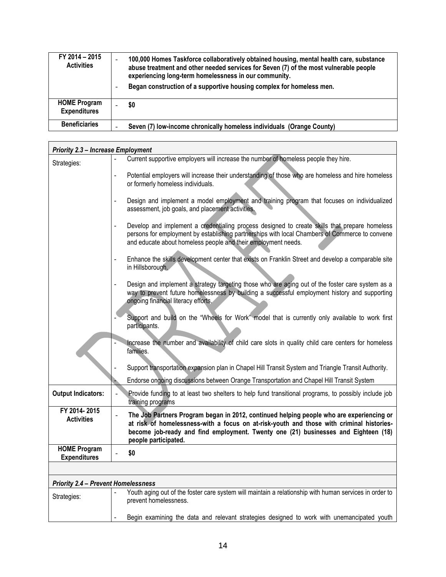| FY 2014 - 2015<br><b>Activities</b>        | 100,000 Homes Taskforce collaboratively obtained housing, mental health care, substance<br>abuse treatment and other needed services for Seven (7) of the most vulnerable people<br>experiencing long-term homelessness in our community.<br>Began construction of a supportive housing complex for homeless men. |
|--------------------------------------------|-------------------------------------------------------------------------------------------------------------------------------------------------------------------------------------------------------------------------------------------------------------------------------------------------------------------|
| <b>HOME Program</b><br><b>Expenditures</b> | \$0                                                                                                                                                                                                                                                                                                               |
| <b>Beneficiaries</b>                       | Seven (7) low-income chronically homeless individuals (Orange County)                                                                                                                                                                                                                                             |

| <b>Priority 2.3 - Increase Employment</b>  |                                                                                                                                                                                                                                                                                                    |  |
|--------------------------------------------|----------------------------------------------------------------------------------------------------------------------------------------------------------------------------------------------------------------------------------------------------------------------------------------------------|--|
| Strategies:                                | Current supportive employers will increase the number of homeless people they hire.                                                                                                                                                                                                                |  |
|                                            | Potential employers will increase their understanding of those who are homeless and hire homeless<br>$\overline{a}$<br>or formerly homeless individuals.                                                                                                                                           |  |
|                                            | Design and implement a model employment and training program that focuses on individualized<br>assessment, job goals, and placement activities.                                                                                                                                                    |  |
|                                            | Develop and implement a credentialing process designed to create skills that prepare homeless<br>persons for employment by establishing partnerships with local Chambers of Commerce to convene<br>and educate about homeless people and their employment needs.                                   |  |
|                                            | Enhance the skills development center that exists on Franklin Street and develop a comparable site<br>in Hillsborough.                                                                                                                                                                             |  |
|                                            | Design and implement a strategy targeting those who are aging out of the foster care system as a<br>way to prevent future homelessness by building a successful employment history and supporting<br>ongoing financial literacy efforts.                                                           |  |
|                                            | Support and build on the "Wheels for Work" model that is currently only available to work first<br>participants.                                                                                                                                                                                   |  |
|                                            | Increase the number and availability of child care slots in quality child care centers for homeless<br>families.                                                                                                                                                                                   |  |
|                                            | Support transportation expansion plan in Chapel Hill Transit System and Triangle Transit Authority.                                                                                                                                                                                                |  |
|                                            | Endorse ongoing discussions between Orange Transportation and Chapel Hill Transit System                                                                                                                                                                                                           |  |
| <b>Output Indicators:</b>                  | Provide funding to at least two shelters to help fund transitional programs, to possibly include job<br>training programs                                                                                                                                                                          |  |
| FY 2014-2015<br><b>Activities</b>          | The Job Partners Program began in 2012, continued helping people who are experiencing or<br>at risk of homelessness-with a focus on at-risk-youth and those with criminal histories-<br>become job-ready and find employment. Twenty one (21) businesses and Eighteen (18)<br>people participated. |  |
| <b>HOME Program</b><br><b>Expenditures</b> | \$0                                                                                                                                                                                                                                                                                                |  |
|                                            |                                                                                                                                                                                                                                                                                                    |  |
| <b>Priority 2.4 - Prevent Homelessness</b> |                                                                                                                                                                                                                                                                                                    |  |
| Strategies:                                | Youth aging out of the foster care system will maintain a relationship with human services in order to<br>prevent homelessness.                                                                                                                                                                    |  |
|                                            | Begin examining the data and relevant strategies designed to work with unemancipated youth                                                                                                                                                                                                         |  |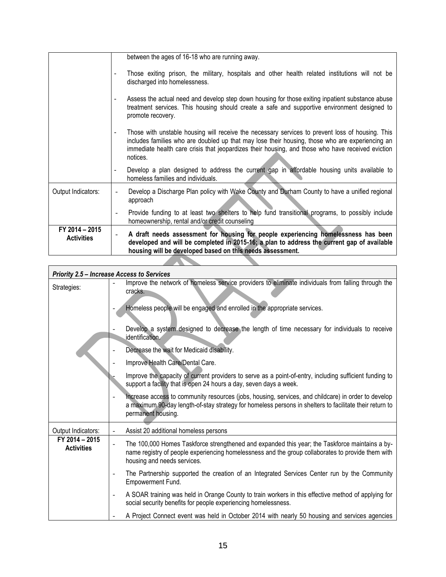|                                     | between the ages of 16-18 who are running away.                                                                                                                                                                                                                                                                      |
|-------------------------------------|----------------------------------------------------------------------------------------------------------------------------------------------------------------------------------------------------------------------------------------------------------------------------------------------------------------------|
|                                     | Those exiting prison, the military, hospitals and other health related institutions will not be<br>discharged into homelessness.                                                                                                                                                                                     |
|                                     | Assess the actual need and develop step down housing for those exiting inpatient substance abuse<br>treatment services. This housing should create a safe and supportive environment designed to<br>promote recovery.                                                                                                |
|                                     | Those with unstable housing will receive the necessary services to prevent loss of housing. This<br>includes families who are doubled up that may lose their housing, those who are experiencing an<br>immediate health care crisis that jeopardizes their housing, and those who have received eviction<br>notices. |
|                                     | Develop a plan designed to address the current gap in affordable housing units available to<br>homeless families and individuals.                                                                                                                                                                                    |
| Output Indicators:                  | Develop a Discharge Plan policy with Wake County and Durham County to have a unified regional<br>approach                                                                                                                                                                                                            |
|                                     | Provide funding to at least two shelters to help fund transitional programs, to possibly include<br>homeownership, rental and/or credit counseling                                                                                                                                                                   |
| FY 2014 - 2015<br><b>Activities</b> | A draft needs assessment for housing for people experiencing homelessness has been<br>developed and will be completed in 2015-16; a plan to address the current gap of available<br>housing will be developed based on this needs assessment.                                                                        |
|                                     |                                                                                                                                                                                                                                                                                                                      |

|                                     | <b>Priority 2.5 - Increase Access to Services</b>                                                                                                                                                                                       |
|-------------------------------------|-----------------------------------------------------------------------------------------------------------------------------------------------------------------------------------------------------------------------------------------|
| Strategies:                         | Improve the network of homeless service providers to eliminate individuals from falling through the<br>cracks.                                                                                                                          |
|                                     | Homeless people will be engaged and enrolled in the appropriate services.                                                                                                                                                               |
|                                     | Develop a system designed to decrease the length of time necessary for individuals to receive<br>identification.                                                                                                                        |
|                                     | Decrease the wait for Medicaid disability.                                                                                                                                                                                              |
|                                     | Improve Health Care/Dental Care.                                                                                                                                                                                                        |
|                                     | Improve the capacity of current providers to serve as a point-of-entry, including sufficient funding to<br>support a facility that is open 24 hours a day, seven days a week.                                                           |
|                                     | Increase access to community resources (jobs, housing, services, and childcare) in order to develop<br>a maximum 90-day length-of-stay strategy for homeless persons in shelters to facilitate their return to<br>permanent housing.    |
| Output Indicators:                  | Assist 20 additional homeless persons<br>$\overline{\phantom{a}}$                                                                                                                                                                       |
| FY 2014 - 2015<br><b>Activities</b> | The 100,000 Homes Taskforce strengthened and expanded this year; the Taskforce maintains a by-<br>-<br>name registry of people experiencing homelessness and the group collaborates to provide them with<br>housing and needs services. |
|                                     | The Partnership supported the creation of an Integrated Services Center run by the Community<br>$\overline{\phantom{a}}$<br>Empowerment Fund.                                                                                           |
|                                     | A SOAR training was held in Orange County to train workers in this effective method of applying for<br>$\overline{\phantom{a}}$<br>social security benefits for people experiencing homelessness.                                       |
|                                     | A Project Connect event was held in October 2014 with nearly 50 housing and services agencies                                                                                                                                           |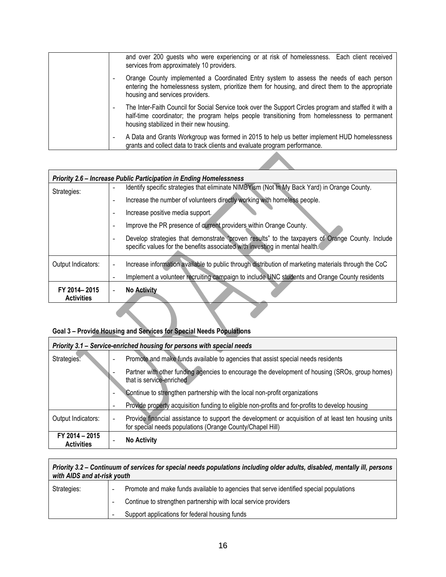| and over 200 guests who were experiencing or at risk of homelessness. Each client received<br>services from approximately 10 providers.                                                                                                            |
|----------------------------------------------------------------------------------------------------------------------------------------------------------------------------------------------------------------------------------------------------|
| Orange County implemented a Coordinated Entry system to assess the needs of each person<br>entering the homelessness system, prioritize them for housing, and direct them to the appropriate<br>housing and services providers.                    |
| The Inter-Faith Council for Social Service took over the Support Circles program and staffed it with a<br>half-time coordinator; the program helps people transitioning from homelessness to permanent<br>housing stabilized in their new housing. |
| A Data and Grants Workgroup was formed in 2015 to help us better implement HUD homelessness<br>grants and collect data to track clients and evaluate program performance.                                                                          |

|                                   | <b>Priority 2.6 - Increase Public Participation in Ending Homelessness</b>                                                                                                      |
|-----------------------------------|---------------------------------------------------------------------------------------------------------------------------------------------------------------------------------|
| Strategies:                       | Identify specific strategies that eliminate NIMBYism (Not In My Back Yard) in Orange County.                                                                                    |
|                                   | Increase the number of volunteers directly working with homeless people.<br>۰                                                                                                   |
|                                   | Increase positive media support.<br>۰                                                                                                                                           |
|                                   | Improve the PR presence of current providers within Orange County.                                                                                                              |
|                                   | Develop strategies that demonstrate "proven results" to the taxpayers of Orange County. Include<br>specific values for the benefits associated with investing in mental health. |
| Output Indicators:                | Increase information available to public through distribution of marketing materials through the CoC<br>$\qquad \qquad -$                                                       |
|                                   | Implement a volunteer recruiting campaign to include UNC students and Orange County residents                                                                                   |
| FY 2014-2015<br><b>Activities</b> | <b>No Activity</b>                                                                                                                                                              |

#### **Goal 3 – Provide Housing and Services for Special Needs Populations**

|                                     | Priority 3.1 - Service-enriched housing for persons with special needs                                                                                                                                                                                                                                                                                                                           |
|-------------------------------------|--------------------------------------------------------------------------------------------------------------------------------------------------------------------------------------------------------------------------------------------------------------------------------------------------------------------------------------------------------------------------------------------------|
| Strategies:                         | Promote and make funds available to agencies that assist special needs residents<br>Partner with other funding agencies to encourage the development of housing (SROs, group homes)<br>that is service-enriched<br>Continue to strengthen partnership with the local non-profit organizations<br>Provide property acquisition funding to eligible non-profits and for-profits to develop housing |
| Output Indicators:                  | Provide financial assistance to support the development or acquisition of at least ten housing units<br>-<br>for special needs populations (Orange County/Chapel Hill)                                                                                                                                                                                                                           |
| FY 2014 - 2015<br><b>Activities</b> | <b>No Activity</b>                                                                                                                                                                                                                                                                                                                                                                               |

#### *Priority 3.2 – Continuum of services for special needs populations including older adults, disabled, mentally ill, persons with AIDS and at-risk youth*

| Strategies: | Promote and make funds available to agencies that serve identified special populations |
|-------------|----------------------------------------------------------------------------------------|
|             | Continue to strengthen partnership with local service providers                        |
|             | Support applications for federal housing funds                                         |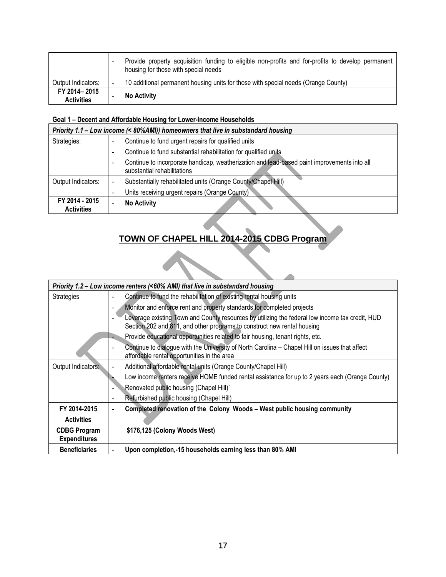|                                   | Provide property acquisition funding to eligible non-profits and for-profits to develop permanent<br>housing for those with special needs |
|-----------------------------------|-------------------------------------------------------------------------------------------------------------------------------------------|
| Output Indicators:                | 10 additional permanent housing units for those with special needs (Orange County)                                                        |
| FY 2014-2015<br><b>Activities</b> | <b>No Activity</b>                                                                                                                        |

#### **Goal 1 – Decent and Affordable Housing for Lower-Income Households**

| Priority 1.1 – Low income (< 80%AMI)) homeowners that live in substandard housing |                                                                                                                            |
|-----------------------------------------------------------------------------------|----------------------------------------------------------------------------------------------------------------------------|
| Strategies:                                                                       | Continue to fund urgent repairs for qualified units                                                                        |
|                                                                                   | Continue to fund substantial rehabilitation for qualified units                                                            |
|                                                                                   | Continue to incorporate handicap, weatherization and lead-based paint improvements into all<br>substantial rehabilitations |
| Output Indicators:                                                                | Substantially rehabilitated units (Orange County/Chapel Hill)                                                              |
|                                                                                   | Units receiving urgent repairs (Orange County)                                                                             |
| FY 2014 - 2015<br><b>Activities</b>                                               | <b>No Activity</b>                                                                                                         |

# **TOWN OF CHAPEL HILL 2014-2015 CDBG Program**

|                      | Priority 1.2 - Low income renters (<60% AMI) that live in substandard housing                                                                                              |
|----------------------|----------------------------------------------------------------------------------------------------------------------------------------------------------------------------|
| <b>Strategies</b>    | Continue to fund the rehabilitation of existing rental housing units                                                                                                       |
|                      | Monitor and enforce rent and property standards for completed projects                                                                                                     |
|                      | Leverage existing Town and County resources by utilizing the federal low income tax credit, HUD<br>Section 202 and 811, and other programs to construct new rental housing |
|                      | Provide educational opportunities related to fair housing, tenant rights, etc.                                                                                             |
|                      | Continue to dialogue with the University of North Carolina - Chapel Hill on issues that affect<br>affordable rental opportunities in the area                              |
| Output Indicators:   | Additional affordable rental units (Orange County/Chapel Hill)                                                                                                             |
|                      | Low income renters receive HOME funded rental assistance for up to 2 years each (Orange County)                                                                            |
|                      | Renovated public housing (Chapel Hill)`                                                                                                                                    |
|                      | Refurbished public housing (Chapel Hill)                                                                                                                                   |
| FY 2014-2015         | Completed renovation of the Colony Woods - West public housing community                                                                                                   |
| <b>Activities</b>    |                                                                                                                                                                            |
| <b>CDBG Program</b>  | \$176,125 (Colony Woods West)                                                                                                                                              |
| <b>Expenditures</b>  |                                                                                                                                                                            |
| <b>Beneficiaries</b> | Upon completion,-15 households earning less than 80% AMI                                                                                                                   |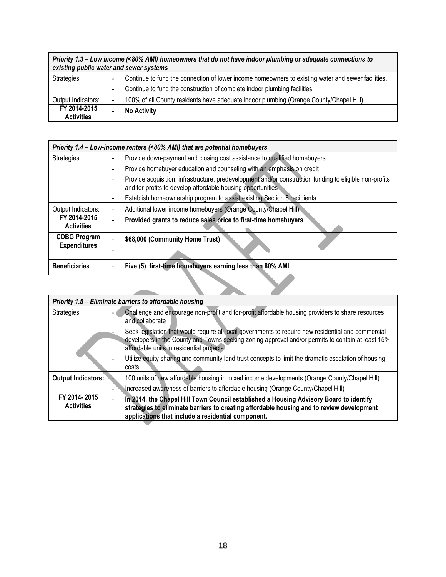| Priority 1.3 – Low income (<80% AMI) homeowners that do not have indoor plumbing or adequate connections to<br>existing public water and sewer systems |                                                                                                    |  |
|--------------------------------------------------------------------------------------------------------------------------------------------------------|----------------------------------------------------------------------------------------------------|--|
| Strategies:                                                                                                                                            | Continue to fund the connection of lower income homeowners to existing water and sewer facilities. |  |
|                                                                                                                                                        | Continue to fund the construction of complete indoor plumbing facilities                           |  |
| Output Indicators:                                                                                                                                     | 100% of all County residents have adequate indoor plumbing (Orange County/Chapel Hill)             |  |
| FY 2014-2015<br><b>Activities</b>                                                                                                                      | <b>No Activity</b>                                                                                 |  |

| Priority 1.4 - Low-income renters (<80% AMI) that are potential homebuyers |                                                                                                                                                                        |
|----------------------------------------------------------------------------|------------------------------------------------------------------------------------------------------------------------------------------------------------------------|
| Strategies:                                                                | Provide down-payment and closing cost assistance to qualified homebuyers                                                                                               |
|                                                                            | Provide homebuyer education and counseling with an emphasis on credit                                                                                                  |
|                                                                            | Provide acquisition, infrastructure, predevelopment and/or construction funding to eligible non-profits<br>and for-profits to develop affordable housing opportunities |
|                                                                            | Establish homeownership program to assist existing Section 8 recipients                                                                                                |
| Output Indicators:                                                         | Additional lower income homebuyers (Orange County/Chapel Hill)                                                                                                         |
| FY 2014-2015<br><b>Activities</b>                                          | Provided grants to reduce sales price to first-time homebuyers                                                                                                         |
| <b>CDBG Program</b><br><b>Expenditures</b>                                 | \$68,000 (Community Home Trust)                                                                                                                                        |
| <b>Beneficiaries</b>                                                       | Five (5) first-time homebuyers earning less than 80% AMI                                                                                                               |
|                                                                            |                                                                                                                                                                        |

|                    | Priority 1.5 - Eliminate barriers to affordable housing                                                                                                                                                                                              |
|--------------------|------------------------------------------------------------------------------------------------------------------------------------------------------------------------------------------------------------------------------------------------------|
| Strategies:        | Challenge and encourage non-profit and for-profit affordable housing providers to share resources<br>and collaborate                                                                                                                                 |
|                    | Seek legislation that would require all local governments to require new residential and commercial<br>developers in the County and Towns seeking zoning approval and/or permits to contain at least 15%<br>affordable units in residential projects |
|                    | Utilize equity sharing and community land trust concepts to limit the dramatic escalation of housing<br>costs                                                                                                                                        |
| Output Indicators: | 100 units of new affordable housing in mixed income developments (Orange County/Chapel Hill)                                                                                                                                                         |
|                    | Increased awareness of barriers to affordable housing (Orange County/Chapel Hill)                                                                                                                                                                    |
| FY 2014-2015       | In 2014, the Chapel Hill Town Council established a Housing Advisory Board to identify                                                                                                                                                               |
| <b>Activities</b>  | strategies to eliminate barriers to creating affordable housing and to review development<br>applications that include a residential component.                                                                                                      |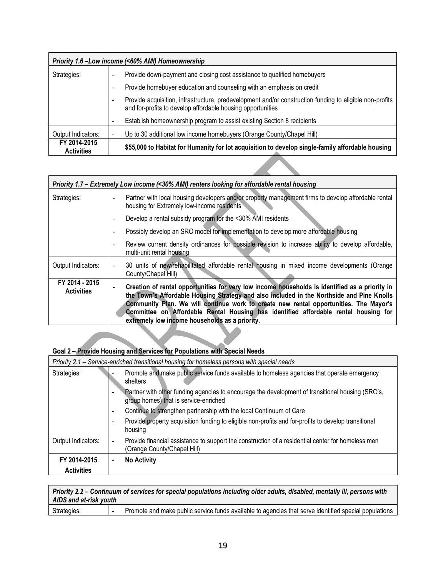|                                   | Priority 1.6 - Low income (<60% AMI) Homeownership                                                                                                                     |
|-----------------------------------|------------------------------------------------------------------------------------------------------------------------------------------------------------------------|
| Strategies:                       | Provide down-payment and closing cost assistance to qualified homebuyers                                                                                               |
|                                   | Provide homebuyer education and counseling with an emphasis on credit                                                                                                  |
|                                   | Provide acquisition, infrastructure, predevelopment and/or construction funding to eligible non-profits<br>and for-profits to develop affordable housing opportunities |
|                                   | Establish homeownership program to assist existing Section 8 recipients                                                                                                |
| Output Indicators:                | Up to 30 additional low income homebuyers (Orange County/Chapel Hill)                                                                                                  |
| FY 2014-2015<br><b>Activities</b> | \$55,000 to Habitat for Humanity for lot acquisition to develop single-family affordable housing                                                                       |

| Priority 1.7 – Extremely Low income (<30% AMI) renters looking for affordable rental housing |                                                                                                                                                                                                                                                                                                                                                                                                                               |
|----------------------------------------------------------------------------------------------|-------------------------------------------------------------------------------------------------------------------------------------------------------------------------------------------------------------------------------------------------------------------------------------------------------------------------------------------------------------------------------------------------------------------------------|
| Strategies:                                                                                  | Partner with local housing developers and/or property management firms to develop affordable rental<br>housing for Extremely low-income residents                                                                                                                                                                                                                                                                             |
|                                                                                              | Develop a rental subsidy program for the <30% AMI residents                                                                                                                                                                                                                                                                                                                                                                   |
|                                                                                              | Possibly develop an SRO model for implementation to develop more affordable housing                                                                                                                                                                                                                                                                                                                                           |
|                                                                                              | Review current density ordinances for possible revision to increase ability to develop affordable,<br>multi-unit rental housing                                                                                                                                                                                                                                                                                               |
| Output Indicators:                                                                           | 30 units of new/rehabilitated affordable rental housing in mixed income developments (Orange<br>County/Chapel Hill)                                                                                                                                                                                                                                                                                                           |
| FY 2014 - 2015<br><b>Activities</b>                                                          | Creation of rental opportunities for very low income households is identified as a priority in<br>the Town's Affordable Housing Strategy and also included in the Northside and Pine Knolls<br>Community Plan. We will continue work to create new rental opportunities. The Mayor's<br>Committee on Affordable Rental Housing has identified affordable rental housing for<br>extremely low income households as a priority. |

#### **Goal 2 – Provide Housing and Services for Populations with Special Needs**

| Priority 2.1 – Service-enriched transitional housing for homeless persons with special needs |                                                                                                                                           |  |  |  |
|----------------------------------------------------------------------------------------------|-------------------------------------------------------------------------------------------------------------------------------------------|--|--|--|
| Strategies:                                                                                  | Promote and make public service funds available to homeless agencies that operate emergency<br>shelters                                   |  |  |  |
|                                                                                              | Partner with other funding agencies to encourage the development of transitional housing (SRO's,<br>group homes) that is service-enriched |  |  |  |
|                                                                                              | Continue to strengthen partnership with the local Continuum of Care<br>$\overline{\phantom{a}}$                                           |  |  |  |
|                                                                                              | Provide property acquisition funding to eligible non-profits and for-profits to develop transitional<br>housing                           |  |  |  |
| Output Indicators:                                                                           | Provide financial assistance to support the construction of a residential center for homeless men<br>(Orange County/Chapel Hill)          |  |  |  |
| FY 2014-2015                                                                                 | <b>No Activity</b>                                                                                                                        |  |  |  |
| <b>Activities</b>                                                                            |                                                                                                                                           |  |  |  |

| Priority 2.2 – Continuum of services for special populations including older adults, disabled, mentally ill, persons with<br>AIDS and at-risk youth |                                                                                                       |  |  |  |
|-----------------------------------------------------------------------------------------------------------------------------------------------------|-------------------------------------------------------------------------------------------------------|--|--|--|
| Strategies:                                                                                                                                         | Promote and make public service funds available to agencies that serve identified special populations |  |  |  |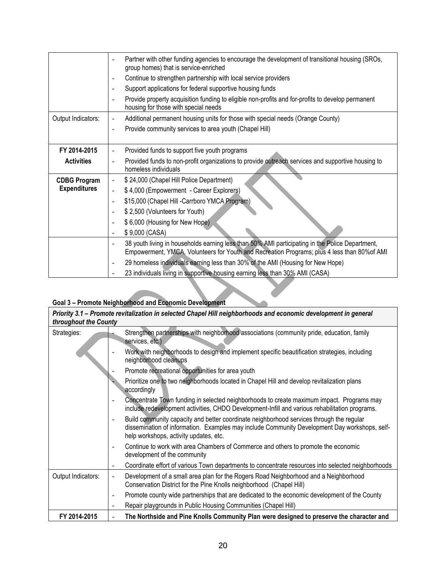|                     | Partner with other funding agencies to encourage the development of transitional housing (SROs,<br>group homes) that is service-enriched                                                             |  |  |  |  |  |
|---------------------|------------------------------------------------------------------------------------------------------------------------------------------------------------------------------------------------------|--|--|--|--|--|
|                     | Continue to strengthen partnership with local service providers<br>$\overline{\phantom{m}}$                                                                                                          |  |  |  |  |  |
|                     | Support applications for federal supportive housing funds<br>$\overline{\phantom{0}}$                                                                                                                |  |  |  |  |  |
|                     | Provide property acquisition funding to eligible non-profits and for-profits to develop permanent<br>$\overline{\phantom{m}}$<br>housing for those with special needs                                |  |  |  |  |  |
| Output Indicators:  | Additional permanent housing units for those with special needs (Orange County)<br>$\overline{\phantom{a}}$                                                                                          |  |  |  |  |  |
|                     | Provide community services to area youth (Chapel Hill)<br>$\blacksquare$                                                                                                                             |  |  |  |  |  |
|                     |                                                                                                                                                                                                      |  |  |  |  |  |
| FY 2014-2015        | Provided funds to support five youth programs<br>$\overline{\phantom{a}}$                                                                                                                            |  |  |  |  |  |
| <b>Activities</b>   | Provided funds to non-profit organizations to provide outreach services and supportive housing to<br>homeless individuals                                                                            |  |  |  |  |  |
| <b>CDBG Program</b> | \$24,000 (Chapel Hill Police Department)<br>$\overline{\phantom{a}}$                                                                                                                                 |  |  |  |  |  |
| <b>Expenditures</b> | \$4,000 (Empowerment - Career Explorers)<br>$\overline{a}$                                                                                                                                           |  |  |  |  |  |
|                     | \$15,000 (Chapel Hill -Carrboro YMCA Program)<br>$\overline{\phantom{a}}$                                                                                                                            |  |  |  |  |  |
|                     | \$2,500 (Volunteers for Youth)<br>$\overline{\phantom{a}}$                                                                                                                                           |  |  |  |  |  |
|                     | \$6,000 (Housing for New Hope)<br>$\overline{a}$                                                                                                                                                     |  |  |  |  |  |
|                     | \$9,000 (CASA)                                                                                                                                                                                       |  |  |  |  |  |
|                     | 38 youth living in households earning less than 50% AMI participating in the Police Department,<br>-<br>Empowerment, YMCA, Volunteers for Youth and Recreation Programs; plus 4 less than 80% of AMI |  |  |  |  |  |
|                     | 29 homeless individuals earning less than 30% of the AMI (Housing for New Hope)<br>٠                                                                                                                 |  |  |  |  |  |
|                     | 23 individuals living in supportive housing earning less than 30% AMI (CASA)                                                                                                                         |  |  |  |  |  |

# **Goal 3 – Promote Neighborhood and Economic Development**

| throughout the County | Priority 3.1 - Promote revitalization in selected Chapel Hill neighborhoods and economic development in general                                                                                                                     |
|-----------------------|-------------------------------------------------------------------------------------------------------------------------------------------------------------------------------------------------------------------------------------|
| Strategies:           | Strengthen partnerships with neighborhood associations (community pride, education, family<br>services, etc.)                                                                                                                       |
|                       | Work with neighborhoods to design and implement specific beautification strategies, including<br>neighborhood cleanups                                                                                                              |
|                       | Promote recreational opportunities for area youth                                                                                                                                                                                   |
|                       | Prioritize one to two neighborhoods located in Chapel Hill and develop revitalization plans<br>accordingly                                                                                                                          |
|                       | Concentrate Town funding in selected neighborhoods to create maximum impact. Programs may<br>include redevelopment activities, CHDO Development-Infill and various rehabilitation programs.                                         |
|                       | Build community capacity and better coordinate neighborhood services through the regular<br>dissemination of information. Examples may include Community Development Day workshops, self-<br>help workshops, activity updates, etc. |
|                       | Continue to work with area Chambers of Commerce and others to promote the economic<br>development of the community                                                                                                                  |
|                       | Coordinate effort of various Town departments to concentrate resources into selected neighborhoods                                                                                                                                  |
| Output Indicators:    | Development of a small area plan for the Rogers Road Neighborhood and a Neighborhood<br>Conservation District for the Pine Knolls neighborhood (Chapel Hill)                                                                        |
|                       | Promote county wide partnerships that are dedicated to the economic development of the County<br>$\qquad \qquad -$                                                                                                                  |
|                       | Repair playgrounds in Public Housing Communities (Chapel Hill)                                                                                                                                                                      |
| FY 2014-2015          | The Northside and Pine Knolls Community Plan were designed to preserve the character and                                                                                                                                            |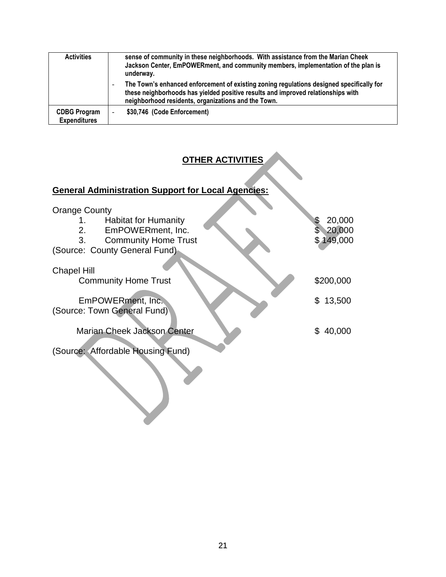| <b>Activities</b>                          | sense of community in these neighborhoods. With assistance from the Marian Cheek<br>Jackson Center, EmPOWERment, and community members, implementation of the plan is<br>underway.                                                  |
|--------------------------------------------|-------------------------------------------------------------------------------------------------------------------------------------------------------------------------------------------------------------------------------------|
|                                            | The Town's enhanced enforcement of existing zoning regulations designed specifically for<br>these neighborhoods has yielded positive results and improved relationships with<br>neighborhood residents, organizations and the Town. |
| <b>CDBG Program</b><br><b>Expenditures</b> | \$30,746 (Code Enforcement)<br>-                                                                                                                                                                                                    |

# **OTHER ACTIVITIES**

# **General Administration Support for Local Agencies:**  Orange County 1. Habitat for Humanity  $\begin{array}{ccc} 1. & \text{Habital for Humanity} \ 2. & \text{EmPOWERment, Inc.} \end{array}$  \$ 20,000 2. EmPOWERment, Inc.  $\frac{1}{2}$  \$ 20,000<br>3. Community Home Trust \$ 149,000 3. Community Home Trust (Source: County General Fund) Chapel Hill Community Home Trust \$200,000 EmPOWERment, Inc. \$13,500 (Source: Town General Fund) Marian Cheek Jackson Center **\$ 40,000** (Source: Affordable Housing Fund)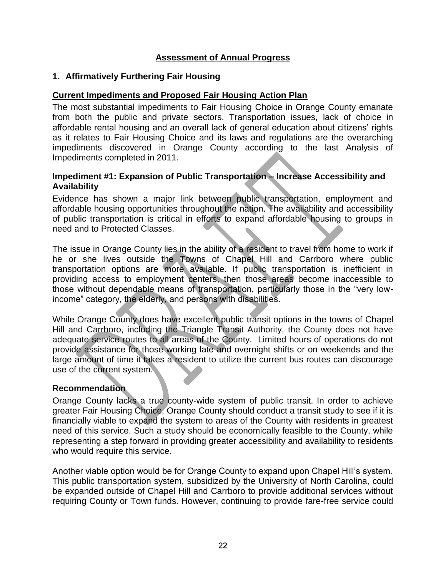#### **Assessment of Annual Progress**

#### <span id="page-21-1"></span><span id="page-21-0"></span>**1. Affirmatively Furthering Fair Housing**

#### <span id="page-21-2"></span>**Current Impediments and Proposed Fair Housing Action Plan**

The most substantial impediments to Fair Housing Choice in Orange County emanate from both the public and private sectors. Transportation issues, lack of choice in affordable rental housing and an overall lack of general education about citizens' rights as it relates to Fair Housing Choice and its laws and regulations are the overarching impediments discovered in Orange County according to the last Analysis of Impediments completed in 2011.

#### <span id="page-21-3"></span>**Impediment #1: Expansion of Public Transportation – Increase Accessibility and Availability**

Evidence has shown a major link between public transportation, employment and affordable housing opportunities throughout the nation. The availability and accessibility of public transportation is critical in efforts to expand affordable housing to groups in need and to Protected Classes.

The issue in Orange County lies in the ability of a resident to travel from home to work if he or she lives outside the Towns of Chapel Hill and Carrboro where public transportation options are more available. If public transportation is inefficient in providing access to employment centers, then those areas become inaccessible to those without dependable means of transportation, particularly those in the "very lowincome" category, the elderly, and persons with disabilities.

While Orange County does have excellent public transit options in the towns of Chapel Hill and Carrboro, including the Triangle Transit Authority, the County does not have adequate service routes to all areas of the County. Limited hours of operations do not provide assistance for those working late and overnight shifts or on weekends and the large amount of time it takes a resident to utilize the current bus routes can discourage use of the current system.

#### <span id="page-21-4"></span>**Recommendation**

Orange County lacks a true county-wide system of public transit. In order to achieve greater Fair Housing Choice, Orange County should conduct a transit study to see if it is financially viable to expand the system to areas of the County with residents in greatest need of this service. Such a study should be economically feasible to the County, while representing a step forward in providing greater accessibility and availability to residents who would require this service.

Another viable option would be for Orange County to expand upon Chapel Hill's system. This public transportation system, subsidized by the University of North Carolina, could be expanded outside of Chapel Hill and Carrboro to provide additional services without requiring County or Town funds. However, continuing to provide fare-free service could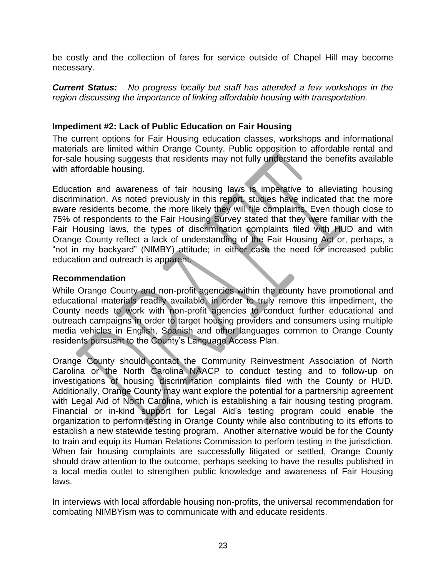be costly and the collection of fares for service outside of Chapel Hill may become necessary.

*Current Status: No progress locally but staff has attended a few workshops in the region discussing the importance of linking affordable housing with transportation.*

#### <span id="page-22-0"></span>**Impediment #2: Lack of Public Education on Fair Housing**

The current options for Fair Housing education classes, workshops and informational materials are limited within Orange County. Public opposition to affordable rental and for-sale housing suggests that residents may not fully understand the benefits available with affordable housing.

Education and awareness of fair housing laws is imperative to alleviating housing discrimination. As noted previously in this report, studies have indicated that the more aware residents become, the more likely they will file complaints. Even though close to 75% of respondents to the Fair Housing Survey stated that they were familiar with the Fair Housing laws, the types of discrimination complaints filed with HUD and with Orange County reflect a lack of understanding of the Fair Housing Act or, perhaps, a "not in my backyard" (NIMBY) attitude; in either case the need for increased public education and outreach is apparent.

#### <span id="page-22-1"></span>**Recommendation**

While Orange County and non-profit agencies within the county have promotional and educational materials readily available, in order to truly remove this impediment, the County needs to work with non-profit agencies to conduct further educational and outreach campaigns in order to target housing providers and consumers using multiple media vehicles in English, Spanish and other languages common to Orange County residents pursuant to the County's Language Access Plan.

Orange County should contact the Community Reinvestment Association of North Carolina or the North Carolina NAACP to conduct testing and to follow-up on investigations of housing discrimination complaints filed with the County or HUD. Additionally, Orange County may want explore the potential for a partnership agreement with Legal Aid of North Carolina, which is establishing a fair housing testing program. Financial or in-kind support for Legal Aid's testing program could enable the organization to perform testing in Orange County while also contributing to its efforts to establish a new statewide testing program. Another alternative would be for the County to train and equip its Human Relations Commission to perform testing in the jurisdiction. When fair housing complaints are successfully litigated or settled, Orange County should draw attention to the outcome, perhaps seeking to have the results published in a local media outlet to strengthen public knowledge and awareness of Fair Housing laws.

In interviews with local affordable housing non-profits, the universal recommendation for combating NIMBYism was to communicate with and educate residents.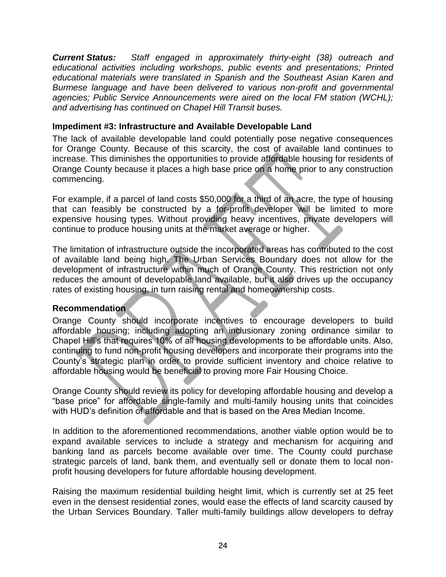<span id="page-23-0"></span>*Current Status: Staff engaged in approximately thirty-eight (38) outreach and educational activities including workshops, public events and presentations; Printed educational materials were translated in Spanish and the Southeast Asian Karen and Burmese language and have been delivered to various non-profit and governmental agencies; Public Service Announcements were aired on the local FM station (WCHL); and advertising has continued on Chapel Hill Transit buses.* 

#### <span id="page-23-1"></span>**Impediment #3: Infrastructure and Available Developable Land**

The lack of available developable land could potentially pose negative consequences for Orange County. Because of this scarcity, the cost of available land continues to increase. This diminishes the opportunities to provide affordable housing for residents of Orange County because it places a high base price on a home prior to any construction commencing.

For example, if a parcel of land costs \$50,000 for a third of an acre, the type of housing that can feasibly be constructed by a for-profit developer will be limited to more expensive housing types. Without providing heavy incentives, private developers will continue to produce housing units at the market average or higher.

The limitation of infrastructure outside the incorporated areas has contributed to the cost of available land being high. The Urban Services Boundary does not allow for the development of infrastructure within much of Orange County. This restriction not only reduces the amount of developable land available, but it also drives up the occupancy rates of existing housing, in turn raising rental and homeownership costs.

#### <span id="page-23-2"></span>**Recommendation**

Orange County should incorporate incentives to encourage developers to build affordable housing; including adopting an inclusionary zoning ordinance similar to Chapel Hill's that requires 10% of all housing developments to be affordable units. Also, continuing to fund non-profit housing developers and incorporate their programs into the County's strategic plan in order to provide sufficient inventory and choice relative to affordable housing would be beneficial to proving more Fair Housing Choice.

Orange County should review its policy for developing affordable housing and develop a "base price" for affordable single-family and multi-family housing units that coincides with HUD's definition of affordable and that is based on the Area Median Income.

In addition to the aforementioned recommendations, another viable option would be to expand available services to include a strategy and mechanism for acquiring and banking land as parcels become available over time. The County could purchase strategic parcels of land, bank them, and eventually sell or donate them to local nonprofit housing developers for future affordable housing development.

Raising the maximum residential building height limit, which is currently set at 25 feet even in the densest residential zones, would ease the effects of land scarcity caused by the Urban Services Boundary. Taller multi-family buildings allow developers to defray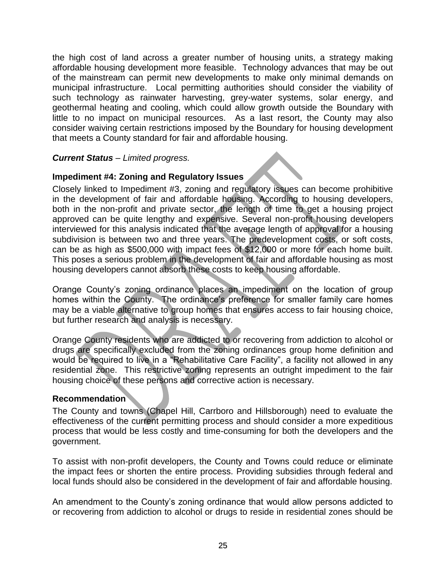the high cost of land across a greater number of housing units, a strategy making affordable housing development more feasible. Technology advances that may be out of the mainstream can permit new developments to make only minimal demands on municipal infrastructure. Local permitting authorities should consider the viability of such technology as rainwater harvesting, grey-water systems, solar energy, and geothermal heating and cooling, which could allow growth outside the Boundary with little to no impact on municipal resources. As a last resort, the County may also consider waiving certain restrictions imposed by the Boundary for housing development that meets a County standard for fair and affordable housing.

#### *Current Status – Limited progress.*

#### <span id="page-24-0"></span>**Impediment #4: Zoning and Regulatory Issues**

Closely linked to Impediment #3, zoning and regulatory issues can become prohibitive in the development of fair and affordable housing. According to housing developers, both in the non-profit and private sector, the length of time to get a housing project approved can be quite lengthy and expensive. Several non-profit housing developers interviewed for this analysis indicated that the average length of approval for a housing subdivision is between two and three years. The predevelopment costs, or soft costs, can be as high as \$500,000 with impact fees of \$12,000 or more for each home built. This poses a serious problem in the development of fair and affordable housing as most housing developers cannot absorb these costs to keep housing affordable.

Orange County's zoning ordinance places an impediment on the location of group homes within the County. The ordinance's preference for smaller family care homes may be a viable alternative to group homes that ensures access to fair housing choice, but further research and analysis is necessary.

Orange County residents who are addicted to or recovering from addiction to alcohol or drugs are specifically excluded from the zoning ordinances group home definition and would be required to live in a "Rehabilitative Care Facility", a facility not allowed in any residential zone. This restrictive zoning represents an outright impediment to the fair housing choice of these persons and corrective action is necessary.

#### <span id="page-24-1"></span>**Recommendation**

The County and towns (Chapel Hill, Carrboro and Hillsborough) need to evaluate the effectiveness of the current permitting process and should consider a more expeditious process that would be less costly and time-consuming for both the developers and the government.

To assist with non-profit developers, the County and Towns could reduce or eliminate the impact fees or shorten the entire process. Providing subsidies through federal and local funds should also be considered in the development of fair and affordable housing.

An amendment to the County's zoning ordinance that would allow persons addicted to or recovering from addiction to alcohol or drugs to reside in residential zones should be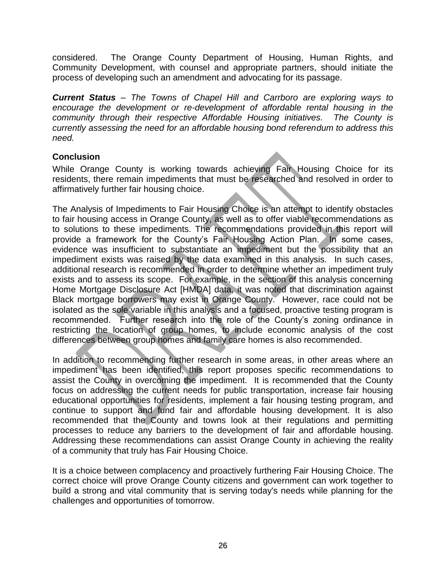considered. The Orange County Department of Housing, Human Rights, and Community Development, with counsel and appropriate partners, should initiate the process of developing such an amendment and advocating for its passage.

*Current Status – The Towns of Chapel Hill and Carrboro are exploring ways to encourage the development or re-development of affordable rental housing in the community through their respective Affordable Housing initiatives. The County is currently assessing the need for an affordable housing bond referendum to address this need.*

#### <span id="page-25-0"></span>**Conclusion**

While Orange County is working towards achieving Fair Housing Choice for its residents, there remain impediments that must be researched and resolved in order to affirmatively further fair housing choice.

The Analysis of Impediments to Fair Housing Choice is an attempt to identify obstacles to fair housing access in Orange County, as well as to offer viable recommendations as to solutions to these impediments. The recommendations provided in this report will provide a framework for the County's Fair Housing Action Plan. In some cases, evidence was insufficient to substantiate an impediment but the possibility that an impediment exists was raised by the data examined in this analysis. In such cases, additional research is recommended in order to determine whether an impediment truly exists and to assess its scope. For example, in the section of this analysis concerning Home Mortgage Disclosure Act [HMDA] data, it was noted that discrimination against Black mortgage borrowers may exist in Orange County. However, race could not be isolated as the sole variable in this analysis and a focused, proactive testing program is recommended. Further research into the role of the County's zoning ordinance in restricting the location of group homes, to include economic analysis of the cost differences between group homes and family care homes is also recommended.

In addition to recommending further research in some areas, in other areas where an impediment has been identified, this report proposes specific recommendations to assist the County in overcoming the impediment. It is recommended that the County focus on addressing the current needs for public transportation, increase fair housing educational opportunities for residents, implement a fair housing testing program, and continue to support and fund fair and affordable housing development. It is also recommended that the County and towns look at their regulations and permitting processes to reduce any barriers to the development of fair and affordable housing. Addressing these recommendations can assist Orange County in achieving the reality of a community that truly has Fair Housing Choice.

It is a choice between complacency and proactively furthering Fair Housing Choice. The correct choice will prove Orange County citizens and government can work together to build a strong and vital community that is serving today's needs while planning for the challenges and opportunities of tomorrow.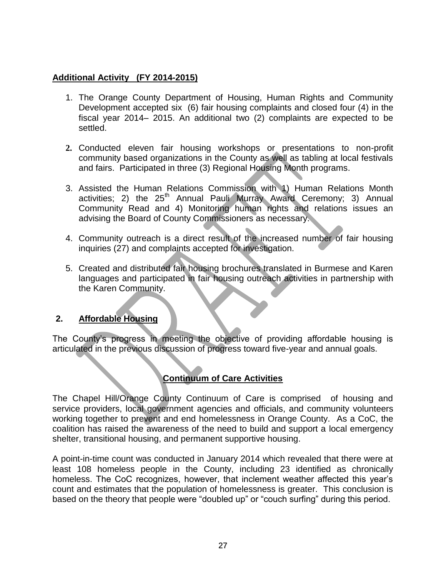#### **Additional Activity (FY 2014-2015)**

- 1. The Orange County Department of Housing, Human Rights and Community Development accepted six (6) fair housing complaints and closed four (4) in the fiscal year 2014– 2015. An additional two (2) complaints are expected to be settled.
- **2.** Conducted eleven fair housing workshops or presentations to non-profit community based organizations in the County as well as tabling at local festivals and fairs. Participated in three (3) Regional Housing Month programs.
- 3. Assisted the Human Relations Commission with 1) Human Relations Month activities; 2) the  $25<sup>th</sup>$  Annual Pauli Murray Award Ceremony; 3) Annual Community Read and 4) Monitoring human rights and relations issues an advising the Board of County Commissioners as necessary.
- 4. Community outreach is a direct result of the increased number of fair housing inquiries (27) and complaints accepted for investigation.
- 5. Created and distributed fair housing brochures translated in Burmese and Karen languages and participated in fair housing outreach activities in partnership with the Karen Community.

#### <span id="page-26-0"></span>**2. Affordable Housing**

The County's progress in meeting the objective of providing affordable housing is articulated in the previous discussion of progress toward five-year and annual goals.

#### **Continuum of Care Activities**

The Chapel Hill/Orange County Continuum of Care is comprised of housing and service providers, local government agencies and officials, and community volunteers working together to prevent and end homelessness in Orange County. As a CoC, the coalition has raised the awareness of the need to build and support a local emergency shelter, transitional housing, and permanent supportive housing.

A point-in-time count was conducted in January 2014 which revealed that there were at least 108 homeless people in the County, including 23 identified as chronically homeless. The CoC recognizes, however, that inclement weather affected this year's count and estimates that the population of homelessness is greater. This conclusion is based on the theory that people were "doubled up" or "couch surfing" during this period.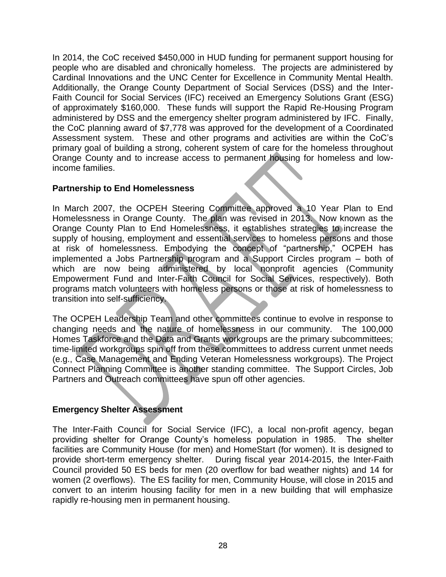In 2014, the CoC received \$450,000 in HUD funding for permanent support housing for people who are disabled and chronically homeless. The projects are administered by Cardinal Innovations and the UNC Center for Excellence in Community Mental Health. Additionally, the Orange County Department of Social Services (DSS) and the Inter-Faith Council for Social Services (IFC) received an Emergency Solutions Grant (ESG) of approximately \$160,000. These funds will support the Rapid Re-Housing Program administered by DSS and the emergency shelter program administered by IFC. Finally, the CoC planning award of \$7,778 was approved for the development of a Coordinated Assessment system. These and other programs and activities are within the CoC's primary goal of building a strong, coherent system of care for the homeless throughout Orange County and to increase access to permanent housing for homeless and lowincome families.

#### **Partnership to End Homelessness**

In March 2007, the OCPEH Steering Committee approved a 10 Year Plan to End Homelessness in Orange County. The plan was revised in 2013. Now known as the Orange County Plan to End Homelessness, it establishes strategies to increase the supply of housing, employment and essential services to homeless persons and those at risk of homelessness. Embodying the concept of "partnership," OCPEH has implemented a Jobs Partnership program and a Support Circles program – both of which are now being administered by local nonprofit agencies (Community Empowerment Fund and Inter-Faith Council for Social Services, respectively). Both programs match volunteers with homeless persons or those at risk of homelessness to transition into self-sufficiency.

The OCPEH Leadership Team and other committees continue to evolve in response to changing needs and the nature of homelessness in our community. The 100,000 Homes Taskforce and the Data and Grants workgroups are the primary subcommittees; time-limited workgroups spin off from these committees to address current unmet needs (e.g., Case Management and Ending Veteran Homelessness workgroups). The Project Connect Planning Committee is another standing committee. The Support Circles, Job Partners and Outreach committees have spun off other agencies.

#### <span id="page-27-0"></span>**Emergency Shelter Assessment**

The Inter-Faith Council for Social Service (IFC), a local non-profit agency, began providing shelter for Orange County's homeless population in 1985. The shelter facilities are Community House (for men) and HomeStart (for women). It is designed to provide short-term emergency shelter. During fiscal year 2014-2015, the Inter-Faith Council provided 50 ES beds for men (20 overflow for bad weather nights) and 14 for women (2 overflows). The ES facility for men, Community House, will close in 2015 and convert to an interim housing facility for men in a new building that will emphasize rapidly re-housing men in permanent housing.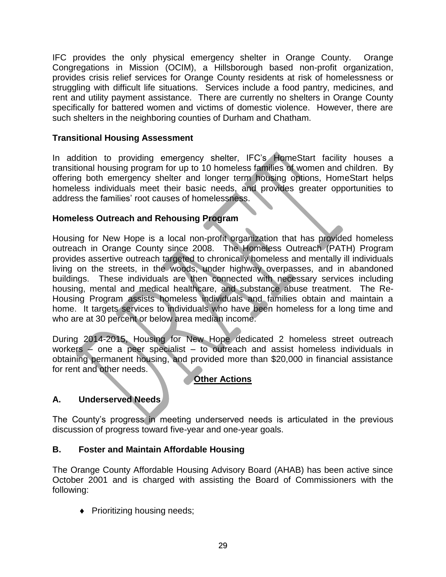IFC provides the only physical emergency shelter in Orange County. Orange Congregations in Mission (OCIM), a Hillsborough based non-profit organization, provides crisis relief services for Orange County residents at risk of homelessness or struggling with difficult life situations. Services include a food pantry, medicines, and rent and utility payment assistance. There are currently no shelters in Orange County specifically for battered women and victims of domestic violence. However, there are such shelters in the neighboring counties of Durham and Chatham.

#### **Transitional Housing Assessment**

In addition to providing emergency shelter, IFC's HomeStart facility houses a transitional housing program for up to 10 homeless families of women and children. By offering both emergency shelter and longer term housing options, HomeStart helps homeless individuals meet their basic needs, and provides greater opportunities to address the families' root causes of homelessness.

#### **Homeless Outreach and Rehousing Program**

Housing for New Hope is a local non-profit organization that has provided homeless outreach in Orange County since 2008. The Homeless Outreach (PATH) Program provides assertive outreach targeted to chronically homeless and mentally ill individuals living on the streets, in the woods, under highway overpasses, and in abandoned buildings. These individuals are then connected with necessary services including housing, mental and medical healthcare, and substance abuse treatment. The Re-Housing Program assists homeless individuals and families obtain and maintain a home. It targets services to individuals who have been homeless for a long time and who are at 30 percent or below area median income.

During 2014-2015, Housing for New Hope dedicated 2 homeless street outreach workers – one a peer specialist – to outreach and assist homeless individuals in obtaining permanent housing, and provided more than \$20,000 in financial assistance for rent and other needs.

#### **Other Actions**

#### **A. Underserved Needs**

The County's progress in meeting underserved needs is articulated in the previous discussion of progress toward five-year and one-year goals.

#### **B. Foster and Maintain Affordable Housing**

The Orange County Affordable Housing Advisory Board (AHAB) has been active since October 2001 and is charged with assisting the Board of Commissioners with the following:

◆ Prioritizing housing needs;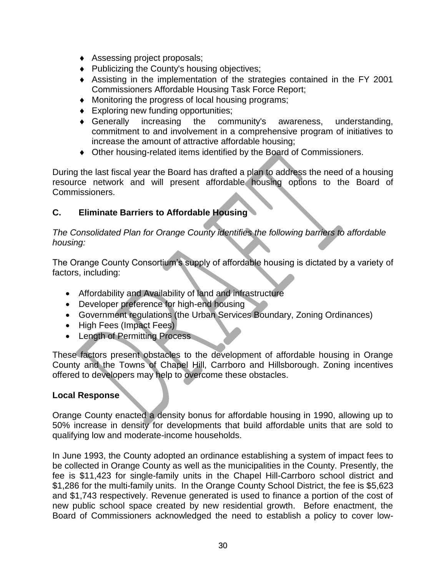- Assessing project proposals;
- Publicizing the County's housing objectives;
- Assisting in the implementation of the strategies contained in the FY 2001 Commissioners Affordable Housing Task Force Report;
- Monitoring the progress of local housing programs;
- ◆ Exploring new funding opportunities;
- Generally increasing the community's awareness, understanding, commitment to and involvement in a comprehensive program of initiatives to increase the amount of attractive affordable housing;
- Other housing-related items identified by the Board of Commissioners.

During the last fiscal year the Board has drafted a plan to address the need of a housing resource network and will present affordable housing options to the Board of Commissioners.

#### **C. Eliminate Barriers to Affordable Housing**

*The Consolidated Plan for Orange County identifies the following barriers to affordable housing:*

The Orange County Consortium's supply of affordable housing is dictated by a variety of factors, including:

- Affordability and Availability of land and infrastructure
- Developer preference for high-end housing
- Government regulations (the Urban Services Boundary, Zoning Ordinances)
- High Fees (Impact Fees)
- Length of Permitting Process

These factors present obstacles to the development of affordable housing in Orange County and the Towns of Chapel Hill, Carrboro and Hillsborough. Zoning incentives offered to developers may help to overcome these obstacles.

#### **Local Response**

Orange County enacted a density bonus for affordable housing in 1990, allowing up to 50% increase in density for developments that build affordable units that are sold to qualifying low and moderate-income households.

In June 1993, the County adopted an ordinance establishing a system of impact fees to be collected in Orange County as well as the municipalities in the County. Presently, the fee is \$11,423 for single-family units in the Chapel Hill-Carrboro school district and \$1,286 for the multi-family units. In the Orange County School District, the fee is \$5,623 and \$1,743 respectively. Revenue generated is used to finance a portion of the cost of new public school space created by new residential growth. Before enactment, the Board of Commissioners acknowledged the need to establish a policy to cover low-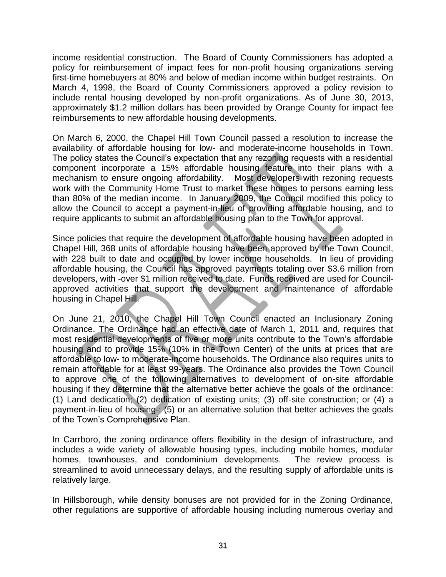income residential construction. The Board of County Commissioners has adopted a policy for reimbursement of impact fees for non-profit housing organizations serving first-time homebuyers at 80% and below of median income within budget restraints. On March 4, 1998, the Board of County Commissioners approved a policy revision to include rental housing developed by non-profit organizations. As of June 30, 2013, approximately \$1.2 million dollars has been provided by Orange County for impact fee reimbursements to new affordable housing developments.

On March 6, 2000, the Chapel Hill Town Council passed a resolution to increase the availability of affordable housing for low- and moderate-income households in Town. The policy states the Council's expectation that any rezoning requests with a residential component incorporate a 15% affordable housing feature into their plans with a mechanism to ensure ongoing affordability. Most developers with rezoning requests work with the Community Home Trust to market these homes to persons earning less than 80% of the median income. In January 2009, the Council modified this policy to allow the Council to accept a payment-in-lieu of providing affordable housing, and to require applicants to submit an affordable housing plan to the Town for approval.

Since policies that require the development of affordable housing have been adopted in Chapel Hill, 368 units of affordable housing have been approved by the Town Council, with 228 built to date and occupied by lower income households. In lieu of providing affordable housing, the Council has approved payments totaling over \$3.6 million from developers, with -over \$1 million received to date. Funds received are used for Councilapproved activities that support the development and maintenance of affordable housing in Chapel Hill.

On June 21, 2010, the Chapel Hill Town Council enacted an Inclusionary Zoning Ordinance. The Ordinance had an effective date of March 1, 2011 and, requires that most residential developments of five or more units contribute to the Town's affordable housing and to provide 15% (10% in the Town Center) of the units at prices that are affordable to low- to moderate-income households. The Ordinance also requires units to remain affordable for at least 99-years. The Ordinance also provides the Town Council to approve one of the following alternatives to development of on-site affordable housing if they determine that the alternative better achieve the goals of the ordinance: (1) Land dedication; (2) dedication of existing units; (3) off-site construction; or (4) a payment-in-lieu of housing-: (5) or an alternative solution that better achieves the goals of the Town's Comprehensive Plan.

In Carrboro, the zoning ordinance offers flexibility in the design of infrastructure, and includes a wide variety of allowable housing types, including mobile homes, modular homes, townhouses, and condominium developments. The review process is streamlined to avoid unnecessary delays, and the resulting supply of affordable units is relatively large.

In Hillsborough, while density bonuses are not provided for in the Zoning Ordinance, other regulations are supportive of affordable housing including numerous overlay and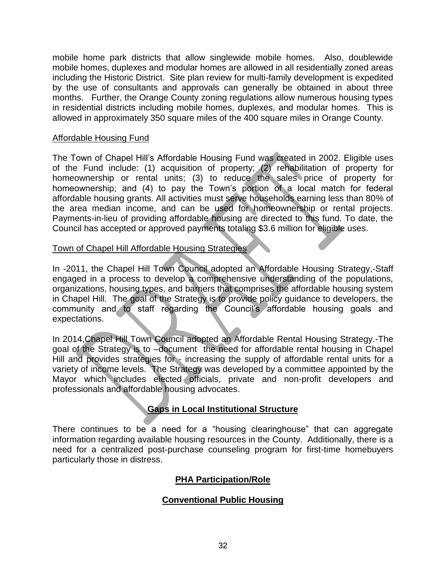mobile home park districts that allow singlewide mobile homes. Also, doublewide mobile homes, duplexes and modular homes are allowed in all residentially zoned areas including the Historic District. Site plan review for multi-family development is expedited by the use of consultants and approvals can generally be obtained in about three months. Further, the Orange County zoning regulations allow numerous housing types in residential districts including mobile homes, duplexes, and modular homes. This is allowed in approximately 350 square miles of the 400 square miles in Orange County.

#### <span id="page-31-0"></span>Affordable Housing Fund

The Town of Chapel Hill's Affordable Housing Fund was created in 2002. Eligible uses of the Fund include: (1) acquisition of property; (2) rehabilitation of property for homeownership or rental units; (3) to reduce the sales price of property for homeownership; and (4) to pay the Town's portion of a local match for federal affordable housing grants. All activities must serve households earning less than 80% of the area median income, and can be used for homeownership or rental projects. Payments-in-lieu of providing affordable housing are directed to this fund. To date, the Council has accepted or approved payments totaling \$3.6 million for eligible uses.

#### Town of Chapel Hill Affordable Housing Strategies

In -2011, the Chapel Hill Town Council adopted an Affordable Housing Strategy,-Staff engaged in a process to develop a comprehensive understanding of the populations, organizations, housing types, and barriers that comprises the affordable housing system in Chapel Hill. The goal of the Strategy is to provide policy guidance to developers, the community and to staff regarding the Council's affordable housing goals and expectations.

In 2014,Chapel Hill Town Council adopted an Affordable Rental Housing Strategy.-The goal of the Strategy is to –document the need for affordable rental housing in Chapel Hill and provides strategies for - increasing the supply of affordable rental units for a variety of income levels. The Strategy was developed by a committee appointed by the Mayor which includes elected officials, private and non-profit developers and professionals and affordable housing advocates.

#### **Gaps in Local Institutional Structure**

<span id="page-31-1"></span>There continues to be a need for a "housing clearinghouse" that can aggregate information regarding available housing resources in the County. Additionally, there is a need for a centralized post-purchase counseling program for first-time homebuyers particularly those in distress.

#### **PHA Participation/Role**

#### **Conventional Public Housing**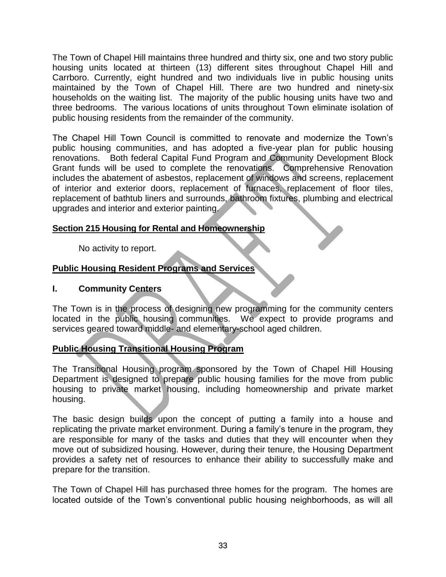The Town of Chapel Hill maintains three hundred and thirty six, one and two story public housing units located at thirteen (13) different sites throughout Chapel Hill and Carrboro. Currently, eight hundred and two individuals live in public housing units maintained by the Town of Chapel Hill. There are two hundred and ninety-six households on the waiting list. The majority of the public housing units have two and three bedrooms. The various locations of units throughout Town eliminate isolation of public housing residents from the remainder of the community.

The Chapel Hill Town Council is committed to renovate and modernize the Town's public housing communities, and has adopted a five-year plan for public housing renovations. Both federal Capital Fund Program and Community Development Block Grant funds will be used to complete the renovations. Comprehensive Renovation includes the abatement of asbestos, replacement of windows and screens, replacement of interior and exterior doors, replacement of furnaces, replacement of floor tiles, replacement of bathtub liners and surrounds, bathroom fixtures, plumbing and electrical upgrades and interior and exterior painting.

#### <span id="page-32-0"></span>**Section 215 Housing for Rental and Homeownership**

No activity to report.

#### **Public Housing Resident Programs and Services**

#### <span id="page-32-1"></span>**I. Community Centers**

The Town is in the process of designing new programming for the community centers located in the public housing communities. We expect to provide programs and services geared toward middle- and elementary-school aged children.

#### **Public Housing Transitional Housing Program**

The Transitional Housing program sponsored by the Town of Chapel Hill Housing Department is designed to prepare public housing families for the move from public housing to private market housing, including homeownership and private market housing.

The basic design builds upon the concept of putting a family into a house and replicating the private market environment. During a family's tenure in the program, they are responsible for many of the tasks and duties that they will encounter when they move out of subsidized housing. However, during their tenure, the Housing Department provides a safety net of resources to enhance their ability to successfully make and prepare for the transition.

The Town of Chapel Hill has purchased three homes for the program. The homes are located outside of the Town's conventional public housing neighborhoods, as will all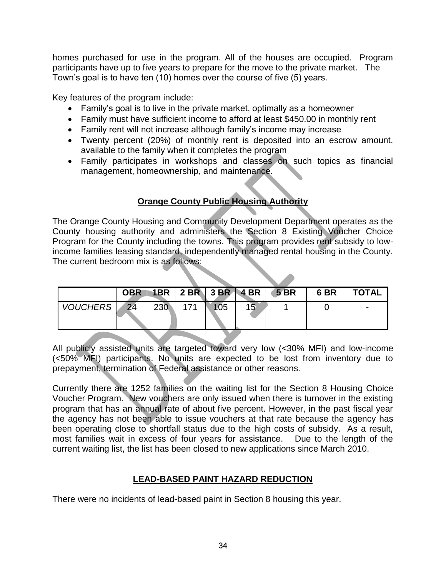homes purchased for use in the program. All of the houses are occupied. Program participants have up to five years to prepare for the move to the private market. The Town's goal is to have ten (10) homes over the course of five (5) years.

Key features of the program include:

- Family's goal is to live in the private market, optimally as a homeowner
- Family must have sufficient income to afford at least \$450.00 in monthly rent
- Family rent will not increase although family's income may increase
- Twenty percent (20%) of monthly rent is deposited into an escrow amount, available to the family when it completes the program
- Family participates in workshops and classes on such topics as financial management, homeownership, and maintenance.

# **Orange County Public Housing Authority**

The Orange County Housing and Community Development Department operates as the County housing authority and administers the Section 8 Existing Voucher Choice Program for the County including the towns. This program provides rent subsidy to lowincome families leasing standard, independently managed rental housing in the County. The current bedroom mix is as follows:

|                 | <b>OBR</b> |            |  |    | $1BR$   2 BR   3 BR   4 BR   5 BR | 6 <sub>BR</sub> | <b>TOTAL</b> |
|-----------------|------------|------------|--|----|-----------------------------------|-----------------|--------------|
| <b>VOUCHERS</b> | 24         | <b>230</b> |  | 15 |                                   |                 |              |

All publicly assisted units are targeted toward very low (<30% MFI) and low-income (<50% MFI) participants. No units are expected to be lost from inventory due to prepayment, termination of Federal assistance or other reasons.

Currently there are 1252 families on the waiting list for the Section 8 Housing Choice Voucher Program. New vouchers are only issued when there is turnover in the existing program that has an annual rate of about five percent. However, in the past fiscal year the agency has not been able to issue vouchers at that rate because the agency has been operating close to shortfall status due to the high costs of subsidy. As a result, most families wait in excess of four years for assistance. Due to the length of the current waiting list, the list has been closed to new applications since March 2010.

#### **LEAD-BASED PAINT HAZARD REDUCTION**

There were no incidents of lead-based paint in Section 8 housing this year.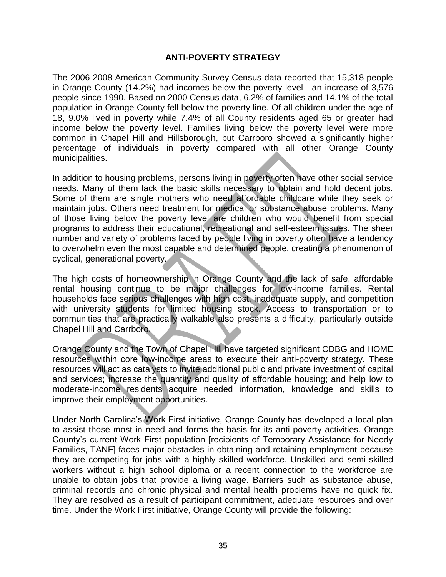#### **ANTI-POVERTY STRATEGY**

<span id="page-34-0"></span>The 2006-2008 American Community Survey Census data reported that 15,318 people in Orange County (14.2%) had incomes below the poverty level—an increase of 3,576 people since 1990. Based on 2000 Census data, 6.2% of families and 14.1% of the total population in Orange County fell below the poverty line. Of all children under the age of 18, 9.0% lived in poverty while 7.4% of all County residents aged 65 or greater had income below the poverty level. Families living below the poverty level were more common in Chapel Hill and Hillsborough, but Carrboro showed a significantly higher percentage of individuals in poverty compared with all other Orange County municipalities.

In addition to housing problems, persons living in poverty often have other social service needs. Many of them lack the basic skills necessary to obtain and hold decent jobs. Some of them are single mothers who need affordable childcare while they seek or maintain jobs. Others need treatment for medical or substance abuse problems. Many of those living below the poverty level are children who would benefit from special programs to address their educational, recreational and self-esteem issues. The sheer number and variety of problems faced by people living in poverty often have a tendency to overwhelm even the most capable and determined people, creating a phenomenon of cyclical, generational poverty.

The high costs of homeownership in Orange County and the lack of safe, affordable rental housing continue to be major challenges for low-income families. Rental households face serious challenges with high cost, inadequate supply, and competition with university students for limited housing stock. Access to transportation or to communities that are practically walkable also presents a difficulty, particularly outside Chapel Hill and Carrboro.

Orange County and the Town of Chapel Hill have targeted significant CDBG and HOME resources within core low-income areas to execute their anti-poverty strategy. These resources will act as catalysts to invite additional public and private investment of capital and services; increase the quantity and quality of affordable housing; and help low to moderate-income residents acquire needed information, knowledge and skills to improve their employment opportunities.

Under North Carolina's Work First initiative, Orange County has developed a local plan to assist those most in need and forms the basis for its anti-poverty activities. Orange County's current Work First population [recipients of Temporary Assistance for Needy Families, TANF] faces major obstacles in obtaining and retaining employment because they are competing for jobs with a highly skilled workforce. Unskilled and semi-skilled workers without a high school diploma or a recent connection to the workforce are unable to obtain jobs that provide a living wage. Barriers such as substance abuse, criminal records and chronic physical and mental health problems have no quick fix. They are resolved as a result of participant commitment, adequate resources and over time. Under the Work First initiative, Orange County will provide the following: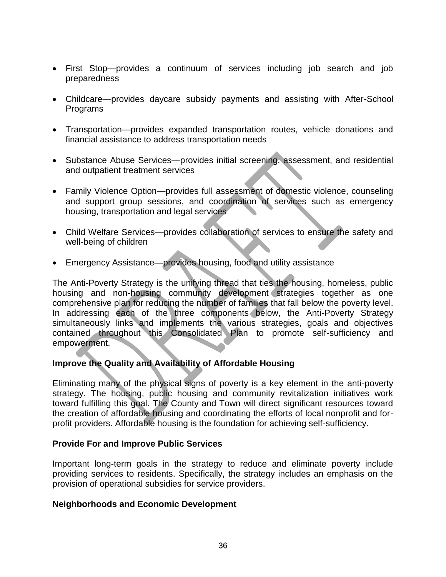- First Stop—provides a continuum of services including job search and job preparedness
- Childcare—provides daycare subsidy payments and assisting with After-School Programs
- Transportation—provides expanded transportation routes, vehicle donations and financial assistance to address transportation needs
- Substance Abuse Services—provides initial screening, assessment, and residential and outpatient treatment services
- Family Violence Option—provides full assessment of domestic violence, counseling and support group sessions, and coordination of services such as emergency housing, transportation and legal services
- Child Welfare Services—provides collaboration of services to ensure the safety and well-being of children
- Emergency Assistance—provides housing, food and utility assistance

The Anti-Poverty Strategy is the unifying thread that ties the housing, homeless, public housing and non-housing community development strategies together as one comprehensive plan for reducing the number of families that fall below the poverty level. In addressing each of the three components below, the Anti-Poverty Strategy simultaneously links and implements the various strategies, goals and objectives contained throughout this Consolidated Plan to promote self-sufficiency and empowerment.

#### <span id="page-35-0"></span>**Improve the Quality and Availability of Affordable Housing**

Eliminating many of the physical signs of poverty is a key element in the anti-poverty strategy. The housing, public housing and community revitalization initiatives work toward fulfilling this goal. The County and Town will direct significant resources toward the creation of affordable housing and coordinating the efforts of local nonprofit and forprofit providers. Affordable housing is the foundation for achieving self-sufficiency.

#### <span id="page-35-1"></span>**Provide For and Improve Public Services**

Important long-term goals in the strategy to reduce and eliminate poverty include providing services to residents. Specifically, the strategy includes an emphasis on the provision of operational subsidies for service providers.

#### <span id="page-35-2"></span>**Neighborhoods and Economic Development**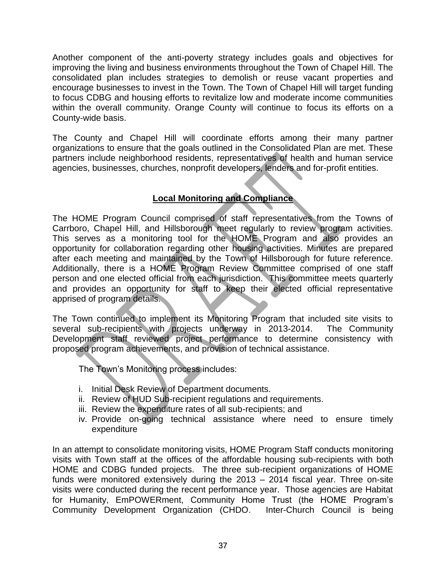Another component of the anti-poverty strategy includes goals and objectives for improving the living and business environments throughout the Town of Chapel Hill. The consolidated plan includes strategies to demolish or reuse vacant properties and encourage businesses to invest in the Town. The Town of Chapel Hill will target funding to focus CDBG and housing efforts to revitalize low and moderate income communities within the overall community. Orange County will continue to focus its efforts on a County-wide basis.

The County and Chapel Hill will coordinate efforts among their many partner organizations to ensure that the goals outlined in the Consolidated Plan are met. These partners include neighborhood residents, representatives of health and human service agencies, businesses, churches, nonprofit developers, lenders and for-profit entities.

# **Local Monitoring and Compliance**

The HOME Program Council comprised of staff representatives from the Towns of Carrboro, Chapel Hill, and Hillsborough meet regularly to review program activities. This serves as a monitoring tool for the HOME Program and also provides an opportunity for collaboration regarding other housing activities. Minutes are prepared after each meeting and maintained by the Town of Hillsborough for future reference. Additionally, there is a HOME Program Review Committee comprised of one staff person and one elected official from each jurisdiction. This committee meets quarterly and provides an opportunity for staff to keep their elected official representative apprised of program details.

The Town continued to implement its Monitoring Program that included site visits to several sub-recipients with projects underway in 2013-2014. The Community Development staff reviewed project performance to determine consistency with proposed program achievements, and provision of technical assistance.

The Town's Monitoring process includes:

- i. Initial Desk Review of Department documents.
- ii. Review of HUD Sub-recipient regulations and requirements.
- iii. Review the expenditure rates of all sub-recipients; and
- iv. Provide on-going technical assistance where need to ensure timely expenditure

In an attempt to consolidate monitoring visits, HOME Program Staff conducts monitoring visits with Town staff at the offices of the affordable housing sub-recipients with both HOME and CDBG funded projects. The three sub-recipient organizations of HOME funds were monitored extensively during the 2013 – 2014 fiscal year. Three on-site visits were conducted during the recent performance year. Those agencies are Habitat for Humanity, EmPOWERment, Community Home Trust (the HOME Program's Community Development Organization (CHDO. Inter-Church Council is being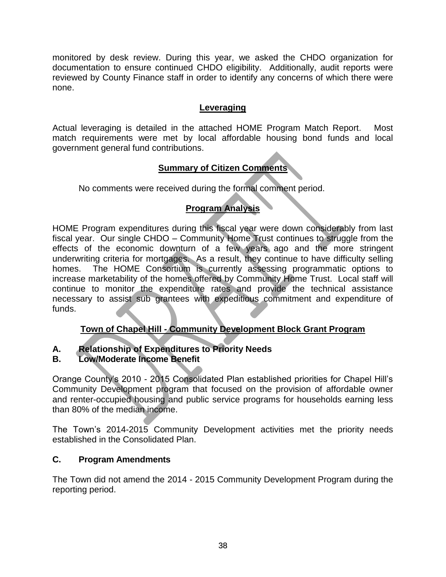monitored by desk review. During this year, we asked the CHDO organization for documentation to ensure continued CHDO eligibility. Additionally, audit reports were reviewed by County Finance staff in order to identify any concerns of which there were none.

#### **Leveraging**

Actual leveraging is detailed in the attached HOME Program Match Report. Most match requirements were met by local affordable housing bond funds and local government general fund contributions.

# **Summary of Citizen Comments**

No comments were received during the formal comment period.

# **Program Analysis**

<span id="page-37-0"></span>HOME Program expenditures during this fiscal year were down considerably from last fiscal year. Our single CHDO – Community Home Trust continues to struggle from the effects of the economic downturn of a few years ago and the more stringent underwriting criteria for mortgages. As a result, they continue to have difficulty selling homes. The HOME Consortium is currently assessing programmatic options to increase marketability of the homes offered by Community Home Trust. Local staff will continue to monitor the expenditure rates and provide the technical assistance necessary to assist sub grantees with expeditious commitment and expenditure of funds.

# **Town of Chapel Hill - Community Development Block Grant Program**

# **A. Relationship of Expenditures to Priority Needs**

# <span id="page-37-1"></span>**B. Low/Moderate Income Benefit**

Orange County's 2010 - 2015 Consolidated Plan established priorities for Chapel Hill's Community Development program that focused on the provision of affordable owner and renter-occupied housing and public service programs for households earning less than 80% of the median income.

The Town's 2014-2015 Community Development activities met the priority needs established in the Consolidated Plan.

#### <span id="page-37-2"></span>**C. Program Amendments**

The Town did not amend the 2014 - 2015 Community Development Program during the reporting period.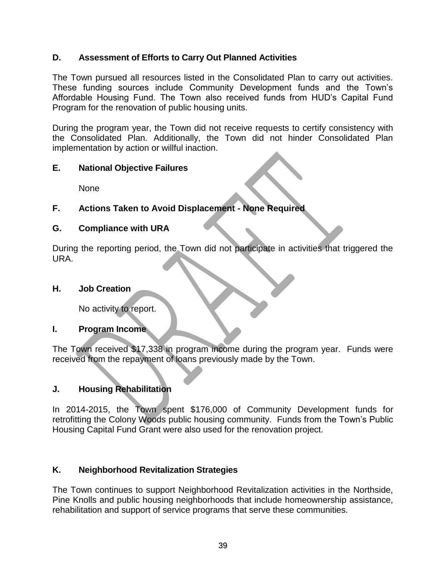#### <span id="page-38-0"></span>**D. Assessment of Efforts to Carry Out Planned Activities**

The Town pursued all resources listed in the Consolidated Plan to carry out activities. These funding sources include Community Development funds and the Town's Affordable Housing Fund. The Town also received funds from HUD's Capital Fund Program for the renovation of public housing units.

During the program year, the Town did not receive requests to certify consistency with the Consolidated Plan. Additionally, the Town did not hinder Consolidated Plan implementation by action or willful inaction.

#### <span id="page-38-1"></span>**E. National Objective Failures**

None

# **F. Actions Taken to Avoid Displacement - None Required**

#### **G. Compliance with URA**

During the reporting period, the Town did not participate in activities that triggered the URA.

#### <span id="page-38-2"></span>**H. Job Creation**

No activity to report.

#### <span id="page-38-3"></span>**I. Program Income**

The Town received \$17,338 in program income during the program year. Funds were received from the repayment of loans previously made by the Town.

#### <span id="page-38-4"></span>**J. Housing Rehabilitation**

In 2014-2015, the Town spent \$176,000 of Community Development funds for retrofitting the Colony Woods public housing community. Funds from the Town's Public Housing Capital Fund Grant were also used for the renovation project.

#### <span id="page-38-5"></span>**K. Neighborhood Revitalization Strategies**

The Town continues to support Neighborhood Revitalization activities in the Northside, Pine Knolls and public housing neighborhoods that include homeownership assistance, rehabilitation and support of service programs that serve these communities.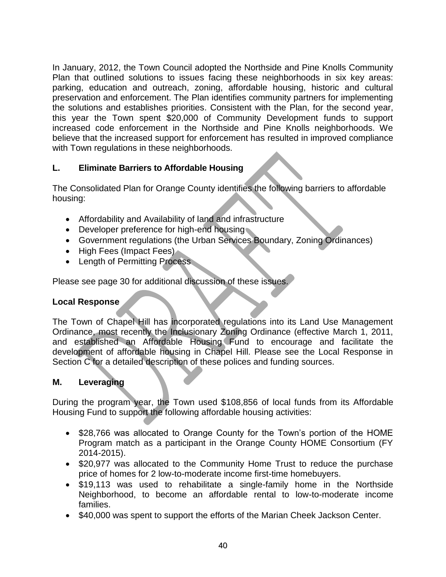In January, 2012, the Town Council adopted the Northside and Pine Knolls Community Plan that outlined solutions to issues facing these neighborhoods in six key areas: parking, education and outreach, zoning, affordable housing, historic and cultural preservation and enforcement. The Plan identifies community partners for implementing the solutions and establishes priorities. Consistent with the Plan, for the second year, this year the Town spent \$20,000 of Community Development funds to support increased code enforcement in the Northside and Pine Knolls neighborhoods. We believe that the increased support for enforcement has resulted in improved compliance with Town regulations in these neighborhoods.

# <span id="page-39-0"></span>**L. Eliminate Barriers to Affordable Housing**

The Consolidated Plan for Orange County identifies the following barriers to affordable housing:

- Affordability and Availability of land and infrastructure
- Developer preference for high-end housing
- Government regulations (the Urban Services Boundary, Zoning Ordinances)
- High Fees (Impact Fees)
- Length of Permitting Process

Please see page 30 for additional discussion of these issues.

#### <span id="page-39-1"></span>**Local Response**

The Town of Chapel Hill has incorporated regulations into its Land Use Management Ordinance, most recently the Inclusionary Zoning Ordinance (effective March 1, 2011, and established an Affordable Housing Fund to encourage and facilitate the development of affordable housing in Chapel Hill. Please see the Local Response in Section C for a detailed description of these polices and funding sources.

# <span id="page-39-2"></span>**M. Leveraging**

During the program year, the Town used \$108,856 of local funds from its Affordable Housing Fund to support the following affordable housing activities:

- \$28,766 was allocated to Orange County for the Town's portion of the HOME Program match as a participant in the Orange County HOME Consortium (FY 2014-2015).
- \$20,977 was allocated to the Community Home Trust to reduce the purchase price of homes for 2 low-to-moderate income first-time homebuyers.
- \$19,113 was used to rehabilitate a single-family home in the Northside Neighborhood, to become an affordable rental to low-to-moderate income families.
- \$40,000 was spent to support the efforts of the Marian Cheek Jackson Center.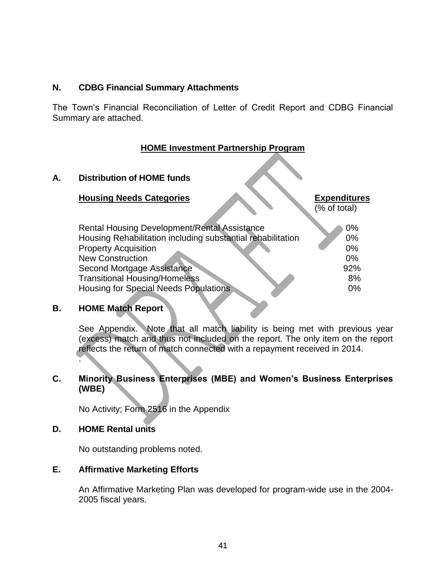#### <span id="page-40-0"></span>**N. CDBG Financial Summary Attachments**

The Town's Financial Reconciliation of Letter of Credit Report and CDBG Financial Summary are attached.

#### **HOME Investment Partnership Program**

#### <span id="page-40-1"></span>**A. Distribution of HOME funds**

#### **Housing Needs Categories Expenditures**

(% of total)

| <b>Rental Housing Development/Rental Assistance</b>         | $0\%$ |
|-------------------------------------------------------------|-------|
| Housing Rehabilitation including substantial rehabilitation | $0\%$ |
| <b>Property Acquisition</b>                                 | $0\%$ |
| <b>New Construction</b>                                     | $0\%$ |
| Second Mortgage Assistance                                  | 92%   |
| <b>Transitional Housing/Homeless</b>                        | 8%    |
| <b>Housing for Special Needs Populations</b>                | $0\%$ |
|                                                             |       |

# <span id="page-40-2"></span>**B. HOME Match Report**

See Appendix. Note that all match liability is being met with previous year (excess) match and thus not included on the report. The only item on the report reflects the return of match connected with a repayment received in 2014.

#### **C. Minority Business Enterprises (MBE) and Women's Business Enterprises (WBE)**

No Activity; Form 2516 in the Appendix

#### <span id="page-40-3"></span>**D. HOME Rental units**

.

No outstanding problems noted.

#### <span id="page-40-4"></span>**E. Affirmative Marketing Efforts**

An Affirmative Marketing Plan was developed for program-wide use in the 2004- 2005 fiscal years.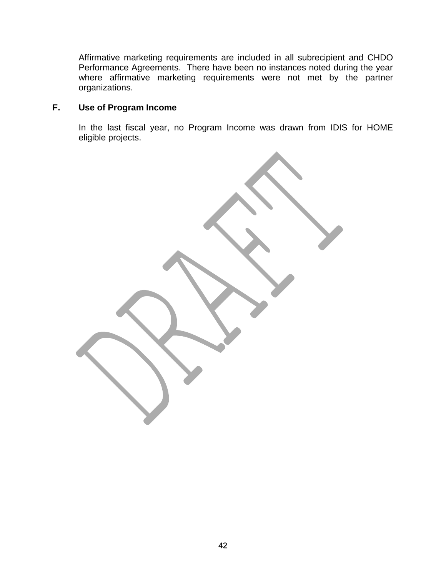Affirmative marketing requirements are included in all subrecipient and CHDO Performance Agreements. There have been no instances noted during the year where affirmative marketing requirements were not met by the partner organizations.

# <span id="page-41-0"></span>**F. Use of Program Income**

In the last fiscal year, no Program Income was drawn from IDIS for HOME eligible projects.